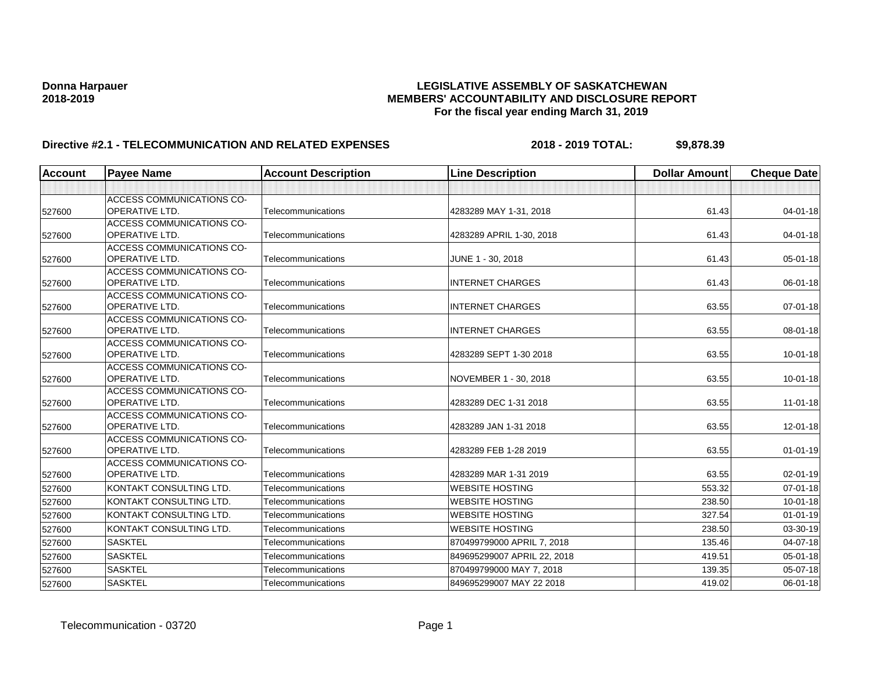| <b>Account</b> | <b>Payee Name</b>                                         | <b>Account Description</b> | <b>Line Description</b>     | <b>Dollar Amount</b> | <b>Cheque Date</b> |
|----------------|-----------------------------------------------------------|----------------------------|-----------------------------|----------------------|--------------------|
|                |                                                           |                            |                             |                      |                    |
|                | <b>ACCESS COMMUNICATIONS CO-</b>                          |                            |                             |                      |                    |
| 527600         | <b>OPERATIVE LTD.</b>                                     | Telecommunications         | 4283289 MAY 1-31, 2018      | 61.43                | 04-01-18           |
|                | <b>ACCESS COMMUNICATIONS CO-</b>                          |                            |                             |                      |                    |
| 527600         | <b>OPERATIVE LTD.</b>                                     | Telecommunications         | 4283289 APRIL 1-30, 2018    | 61.43                | $04 - 01 - 18$     |
|                | <b>ACCESS COMMUNICATIONS CO-</b>                          |                            |                             |                      |                    |
| 527600         | <b>OPERATIVE LTD.</b>                                     | Telecommunications         | JUNE 1 - 30, 2018           | 61.43                | $05 - 01 - 18$     |
|                | <b>ACCESS COMMUNICATIONS CO-</b>                          |                            |                             |                      |                    |
| 527600         | <b>OPERATIVE LTD.</b>                                     | Telecommunications         | <b>INTERNET CHARGES</b>     | 61.43                | 06-01-18           |
|                | <b>ACCESS COMMUNICATIONS CO-</b><br><b>OPERATIVE LTD.</b> | Telecommunications         | <b>INTERNET CHARGES</b>     | 63.55                | $07 - 01 - 18$     |
| 527600         |                                                           |                            |                             |                      |                    |
| 527600         | <b>ACCESS COMMUNICATIONS CO-</b><br><b>OPERATIVE LTD.</b> | Telecommunications         | <b>INTERNET CHARGES</b>     | 63.55                | 08-01-18           |
|                | <b>ACCESS COMMUNICATIONS CO-</b>                          |                            |                             |                      |                    |
| 527600         | <b>OPERATIVE LTD.</b>                                     | Telecommunications         | 4283289 SEPT 1-30 2018      | 63.55                | $10 - 01 - 18$     |
|                | <b>ACCESS COMMUNICATIONS CO-</b>                          |                            |                             |                      |                    |
| 527600         | <b>OPERATIVE LTD.</b>                                     | Telecommunications         | NOVEMBER 1 - 30, 2018       | 63.55                | $10 - 01 - 18$     |
|                | <b>ACCESS COMMUNICATIONS CO-</b>                          |                            |                             |                      |                    |
| 527600         | <b>OPERATIVE LTD.</b>                                     | Telecommunications         | 4283289 DEC 1-31 2018       | 63.55                | $11-01-18$         |
|                | <b>ACCESS COMMUNICATIONS CO-</b>                          |                            |                             |                      |                    |
| 527600         | <b>OPERATIVE LTD.</b>                                     | Telecommunications         | 4283289 JAN 1-31 2018       | 63.55                | 12-01-18           |
|                | <b>ACCESS COMMUNICATIONS CO-</b>                          |                            |                             |                      |                    |
| 527600         | <b>OPERATIVE LTD.</b>                                     | Telecommunications         | 4283289 FEB 1-28 2019       | 63.55                | $01 - 01 - 19$     |
|                | <b>ACCESS COMMUNICATIONS CO-</b>                          |                            |                             |                      |                    |
| 527600         | OPERATIVE LTD.                                            | Telecommunications         | 4283289 MAR 1-31 2019       | 63.55                | 02-01-19           |
| 527600         | KONTAKT CONSULTING LTD.                                   | Telecommunications         | <b>WEBSITE HOSTING</b>      | 553.32               | $07 - 01 - 18$     |
| 527600         | KONTAKT CONSULTING LTD.                                   | Telecommunications         | <b>WEBSITE HOSTING</b>      | 238.50               | $10 - 01 - 18$     |
| 527600         | KONTAKT CONSULTING LTD.                                   | Telecommunications         | <b>WEBSITE HOSTING</b>      | 327.54               | $01 - 01 - 19$     |
| 527600         | KONTAKT CONSULTING LTD.                                   | Telecommunications         | <b>WEBSITE HOSTING</b>      | 238.50               | 03-30-19           |
| 527600         | <b>SASKTEL</b>                                            | Telecommunications         | 870499799000 APRIL 7, 2018  | 135.46               | 04-07-18           |
| 527600         | <b>SASKTEL</b>                                            | Telecommunications         | 849695299007 APRIL 22, 2018 | 419.51               | $05 - 01 - 18$     |
| 527600         | <b>SASKTEL</b>                                            | Telecommunications         | 870499799000 MAY 7, 2018    | 139.35               | 05-07-18           |
| 527600         | <b>SASKTEL</b>                                            | Telecommunications         | 849695299007 MAY 22 2018    | 419.02               | $06 - 01 - 18$     |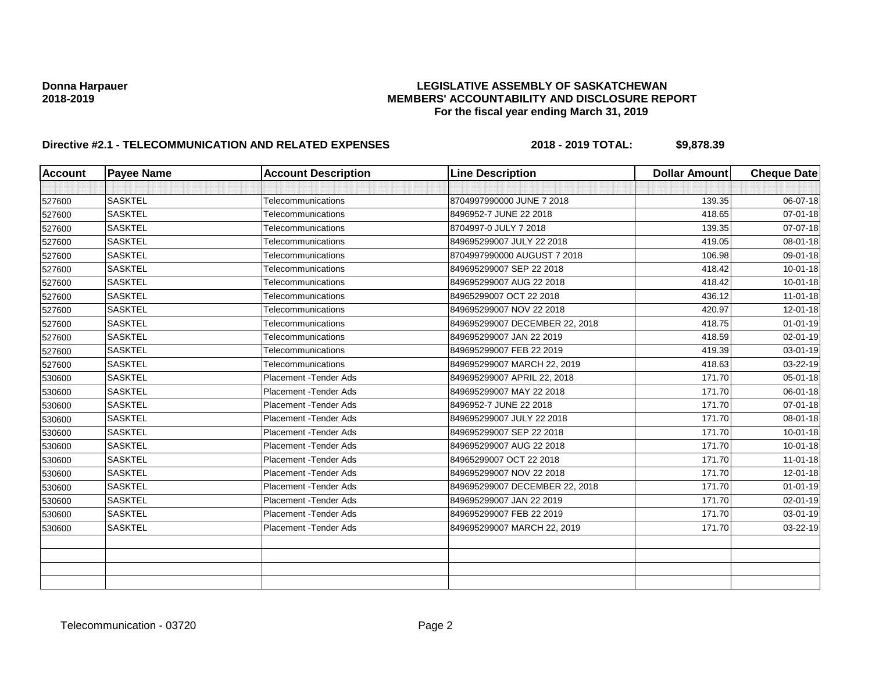| <b>Account</b> | <b>Payee Name</b> | <b>Account Description</b> | <b>Line Description</b>        | <b>Dollar Amount</b> | <b>Cheque Date</b> |
|----------------|-------------------|----------------------------|--------------------------------|----------------------|--------------------|
|                |                   |                            |                                |                      |                    |
| 527600         | <b>SASKTEL</b>    | Telecommunications         | 8704997990000 JUNE 7 2018      | 139.35               | 06-07-18           |
| 527600         | <b>SASKTEL</b>    | Telecommunications         | 8496952-7 JUNE 22 2018         | 418.65               | $07 - 01 - 18$     |
| 527600         | <b>SASKTEL</b>    | Telecommunications         | 8704997-0 JULY 7 2018          | 139.35               | 07-07-18           |
| 527600         | <b>SASKTEL</b>    | Telecommunications         | 849695299007 JULY 22 2018      | 419.05               | 08-01-18           |
| 527600         | <b>SASKTEL</b>    | Telecommunications         | 8704997990000 AUGUST 7 2018    | 106.98               | 09-01-18           |
| 527600         | <b>SASKTEL</b>    | Telecommunications         | 849695299007 SEP 22 2018       | 418.42               | $10 - 01 - 18$     |
| 527600         | <b>SASKTEL</b>    | Telecommunications         | 849695299007 AUG 22 2018       | 418.42               | $10 - 01 - 18$     |
| 527600         | <b>SASKTEL</b>    | Telecommunications         | 84965299007 OCT 22 2018        | 436.12               | $11 - 01 - 18$     |
| 527600         | <b>SASKTEL</b>    | Telecommunications         | 849695299007 NOV 22 2018       | 420.97               | 12-01-18           |
| 527600         | <b>SASKTEL</b>    | Telecommunications         | 849695299007 DECEMBER 22, 2018 | 418.75               | $01 - 01 - 19$     |
| 527600         | <b>SASKTEL</b>    | Telecommunications         | 849695299007 JAN 22 2019       | 418.59               | 02-01-19           |
| 527600         | <b>SASKTEL</b>    | Telecommunications         | 849695299007 FEB 22 2019       | 419.39               | 03-01-19           |
| 527600         | <b>SASKTEL</b>    | Telecommunications         | 849695299007 MARCH 22, 2019    | 418.63               | 03-22-19           |
| 530600         | <b>SASKTEL</b>    | Placement - Tender Ads     | 849695299007 APRIL 22, 2018    | 171.70               | 05-01-18           |
| 530600         | <b>SASKTEL</b>    | Placement - Tender Ads     | 849695299007 MAY 22 2018       | 171.70               | 06-01-18           |
| 530600         | <b>SASKTEL</b>    | Placement - Tender Ads     | 8496952-7 JUNE 22 2018         | 171.70               | 07-01-18           |
| 530600         | <b>SASKTEL</b>    | Placement - Tender Ads     | 849695299007 JULY 22 2018      | 171.70               | 08-01-18           |
| 530600         | <b>SASKTEL</b>    | Placement - Tender Ads     | 849695299007 SEP 22 2018       | 171.70               | $10 - 01 - 18$     |
| 530600         | <b>SASKTEL</b>    | Placement - Tender Ads     | 849695299007 AUG 22 2018       | 171.70               | $10 - 01 - 18$     |
| 530600         | <b>SASKTEL</b>    | Placement - Tender Ads     | 84965299007 OCT 22 2018        | 171.70               | $11 - 01 - 18$     |
| 530600         | <b>SASKTEL</b>    | Placement - Tender Ads     | 849695299007 NOV 22 2018       | 171.70               | 12-01-18           |
| 530600         | <b>SASKTEL</b>    | Placement - Tender Ads     | 849695299007 DECEMBER 22, 2018 | 171.70               | $01 - 01 - 19$     |
| 530600         | <b>SASKTEL</b>    | Placement - Tender Ads     | 849695299007 JAN 22 2019       | 171.70               | $02 - 01 - 19$     |
| 530600         | <b>SASKTEL</b>    | Placement - Tender Ads     | 849695299007 FEB 22 2019       | 171.70               | $03 - 01 - 19$     |
| 530600         | <b>SASKTEL</b>    | Placement - Tender Ads     | 849695299007 MARCH 22, 2019    | 171.70               | 03-22-19           |
|                |                   |                            |                                |                      |                    |
|                |                   |                            |                                |                      |                    |
|                |                   |                            |                                |                      |                    |
|                |                   |                            |                                |                      |                    |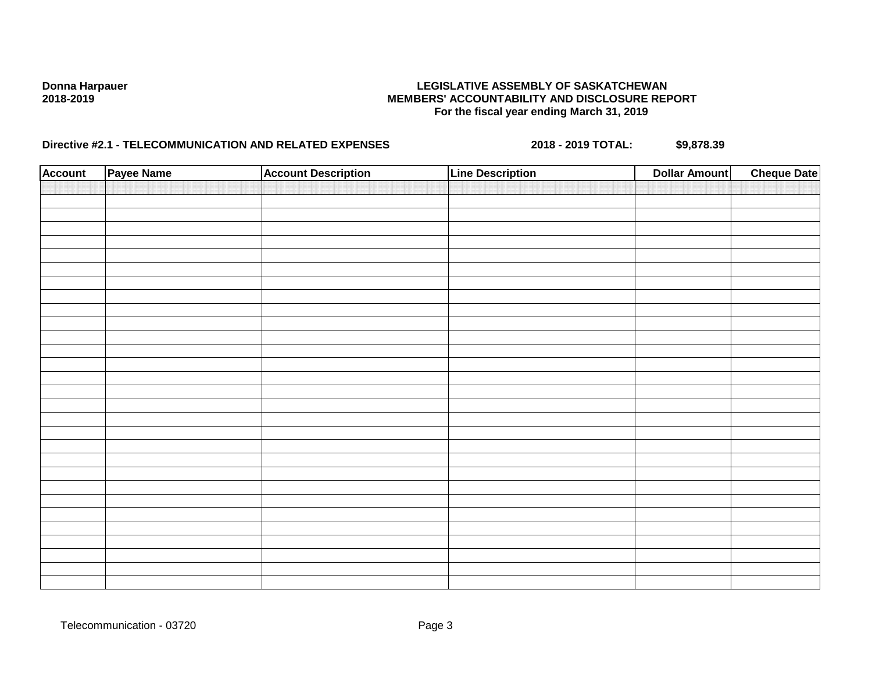| <b>Account</b> | Payee Name | <b>Account Description</b> | <b>Line Description</b> | <b>Dollar Amount</b> | <b>Cheque Date</b> |
|----------------|------------|----------------------------|-------------------------|----------------------|--------------------|
|                |            |                            |                         |                      |                    |
|                |            |                            |                         |                      |                    |
|                |            |                            |                         |                      |                    |
|                |            |                            |                         |                      |                    |
|                |            |                            |                         |                      |                    |
|                |            |                            |                         |                      |                    |
|                |            |                            |                         |                      |                    |
|                |            |                            |                         |                      |                    |
|                |            |                            |                         |                      |                    |
|                |            |                            |                         |                      |                    |
|                |            |                            |                         |                      |                    |
|                |            |                            |                         |                      |                    |
|                |            |                            |                         |                      |                    |
|                |            |                            |                         |                      |                    |
|                |            |                            |                         |                      |                    |
|                |            |                            |                         |                      |                    |
|                |            |                            |                         |                      |                    |
|                |            |                            |                         |                      |                    |
|                |            |                            |                         |                      |                    |
|                |            |                            |                         |                      |                    |
|                |            |                            |                         |                      |                    |
|                |            |                            |                         |                      |                    |
|                |            |                            |                         |                      |                    |
|                |            |                            |                         |                      |                    |
|                |            |                            |                         |                      |                    |
|                |            |                            |                         |                      |                    |
|                |            |                            |                         |                      |                    |
|                |            |                            |                         |                      |                    |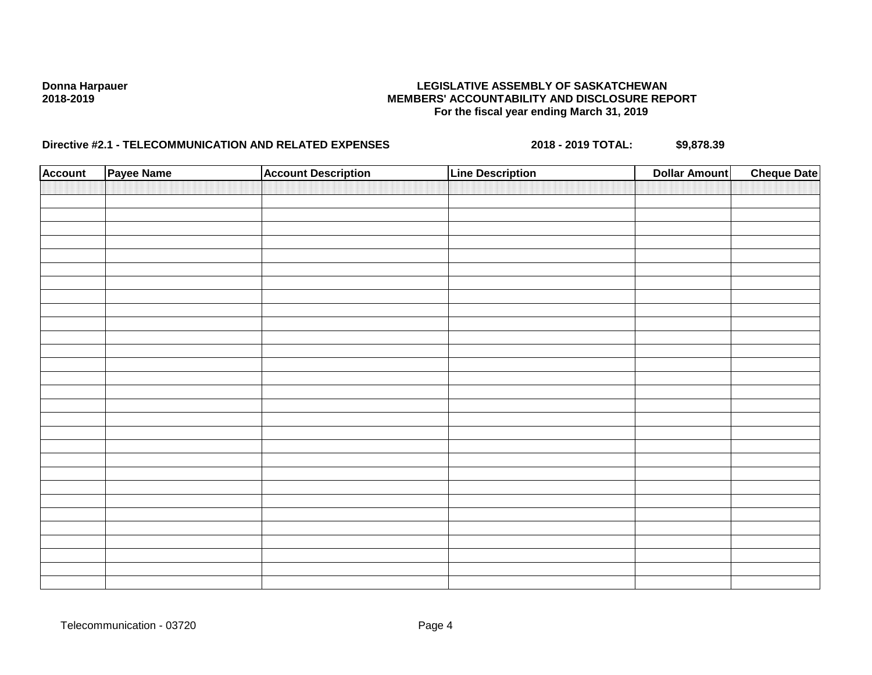| <b>Account</b> | Payee Name | <b>Account Description</b> | <b>Line Description</b> | <b>Dollar Amount</b> | <b>Cheque Date</b> |
|----------------|------------|----------------------------|-------------------------|----------------------|--------------------|
|                |            |                            |                         |                      |                    |
|                |            |                            |                         |                      |                    |
|                |            |                            |                         |                      |                    |
|                |            |                            |                         |                      |                    |
|                |            |                            |                         |                      |                    |
|                |            |                            |                         |                      |                    |
|                |            |                            |                         |                      |                    |
|                |            |                            |                         |                      |                    |
|                |            |                            |                         |                      |                    |
|                |            |                            |                         |                      |                    |
|                |            |                            |                         |                      |                    |
|                |            |                            |                         |                      |                    |
|                |            |                            |                         |                      |                    |
|                |            |                            |                         |                      |                    |
|                |            |                            |                         |                      |                    |
|                |            |                            |                         |                      |                    |
|                |            |                            |                         |                      |                    |
|                |            |                            |                         |                      |                    |
|                |            |                            |                         |                      |                    |
|                |            |                            |                         |                      |                    |
|                |            |                            |                         |                      |                    |
|                |            |                            |                         |                      |                    |
|                |            |                            |                         |                      |                    |
|                |            |                            |                         |                      |                    |
|                |            |                            |                         |                      |                    |
|                |            |                            |                         |                      |                    |
|                |            |                            |                         |                      |                    |
|                |            |                            |                         |                      |                    |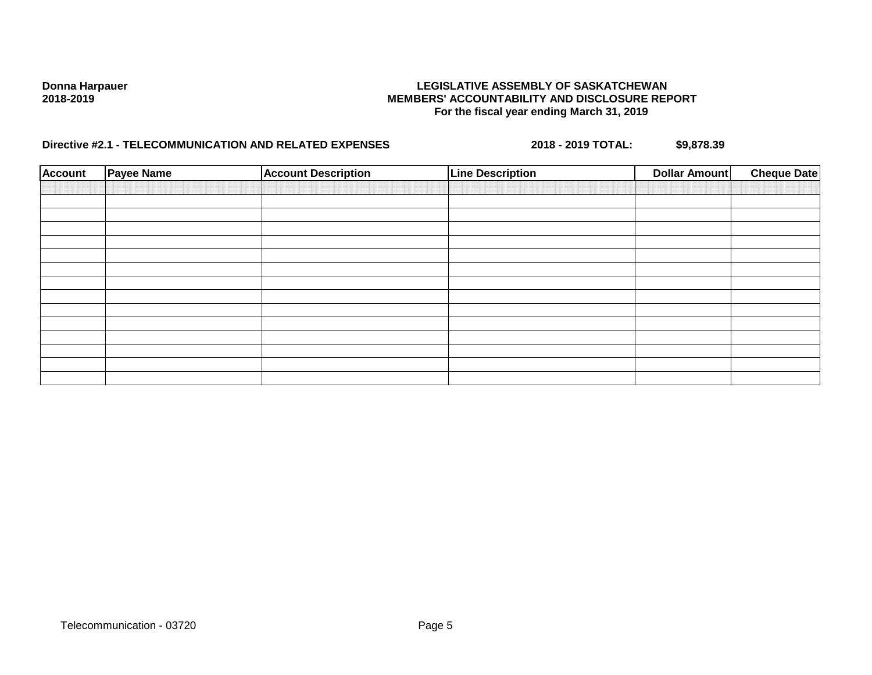| <b>Account</b> | <b>Payee Name</b> | <b>Account Description</b> | <b>Line Description</b> | <b>Dollar Amount</b> | <b>Cheque Date</b> |
|----------------|-------------------|----------------------------|-------------------------|----------------------|--------------------|
|                |                   |                            |                         |                      |                    |
|                |                   |                            |                         |                      |                    |
|                |                   |                            |                         |                      |                    |
|                |                   |                            |                         |                      |                    |
|                |                   |                            |                         |                      |                    |
|                |                   |                            |                         |                      |                    |
|                |                   |                            |                         |                      |                    |
|                |                   |                            |                         |                      |                    |
|                |                   |                            |                         |                      |                    |
|                |                   |                            |                         |                      |                    |
|                |                   |                            |                         |                      |                    |
|                |                   |                            |                         |                      |                    |
|                |                   |                            |                         |                      |                    |
|                |                   |                            |                         |                      |                    |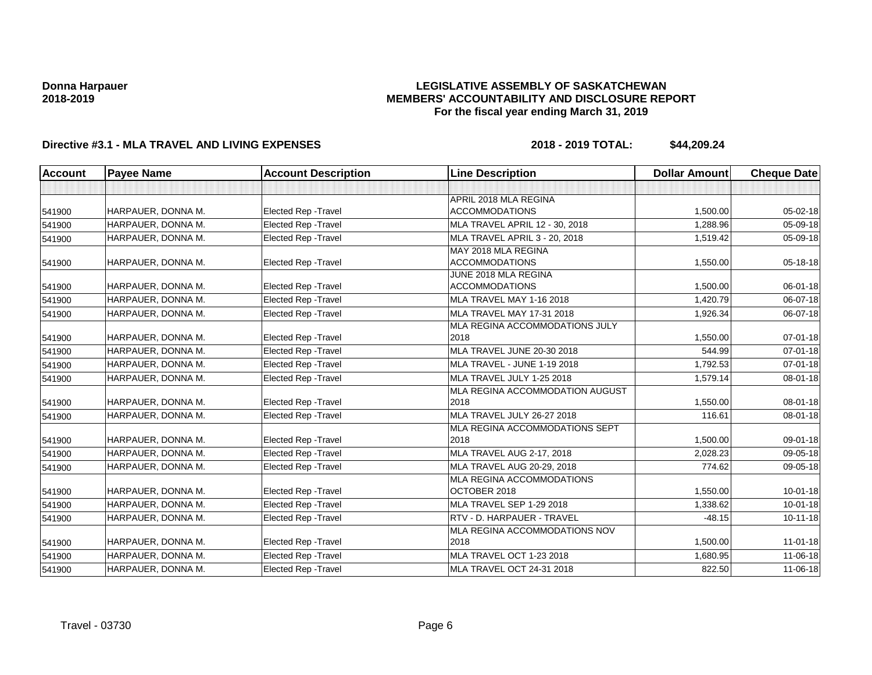### **LEGISLATIVE ASSEMBLY OF SASKATCHEWAN MEMBERS' ACCOUNTABILITY AND DISCLOSURE REPORT For the fiscal year ending March 31, 2019**

| <b>Account</b> | <b>Payee Name</b>  | <b>Account Description</b>  | <b>Line Description</b>          | <b>Dollar Amount</b> | <b>Cheque Date</b> |
|----------------|--------------------|-----------------------------|----------------------------------|----------------------|--------------------|
|                |                    |                             |                                  |                      |                    |
|                |                    |                             | APRIL 2018 MLA REGINA            |                      |                    |
| 541900         | HARPAUER, DONNA M. | <b>Elected Rep - Travel</b> | <b>ACCOMMODATIONS</b>            | 1,500.00             | 05-02-18           |
| 541900         | HARPAUER, DONNA M. | <b>Elected Rep - Travel</b> | MLA TRAVEL APRIL 12 - 30, 2018   | 1,288.96             | 05-09-18           |
| 541900         | HARPAUER, DONNA M. | <b>Elected Rep - Travel</b> | MLA TRAVEL APRIL 3 - 20, 2018    | 1,519.42             | 05-09-18           |
|                |                    |                             | MAY 2018 MLA REGINA              |                      |                    |
| 541900         | HARPAUER, DONNA M. | <b>Elected Rep - Travel</b> | <b>ACCOMMODATIONS</b>            | 1,550.00             | 05-18-18           |
|                |                    |                             | JUNE 2018 MLA REGINA             |                      |                    |
| 541900         | HARPAUER, DONNA M. | <b>Elected Rep - Travel</b> | <b>ACCOMMODATIONS</b>            | 1,500.00             | 06-01-18           |
| 541900         | HARPAUER, DONNA M. | Elected Rep - Travel        | MLA TRAVEL MAY 1-16 2018         | 1,420.79             | 06-07-18           |
| 541900         | HARPAUER, DONNA M. | <b>Elected Rep - Travel</b> | MLA TRAVEL MAY 17-31 2018        | 1,926.34             | 06-07-18           |
|                |                    |                             | MLA REGINA ACCOMMODATIONS JULY   |                      |                    |
| 541900         | HARPAUER, DONNA M. | Elected Rep - Travel        | 2018                             | 1,550.00             | 07-01-18           |
| 541900         | HARPAUER, DONNA M. | <b>Elected Rep - Travel</b> | MLA TRAVEL JUNE 20-30 2018       | 544.99               | 07-01-18           |
| 541900         | HARPAUER, DONNA M. | <b>Elected Rep - Travel</b> | MLA TRAVEL - JUNE 1-19 2018      | 1,792.53             | $07 - 01 - 18$     |
| 541900         | HARPAUER, DONNA M. | <b>Elected Rep - Travel</b> | MLA TRAVEL JULY 1-25 2018        | 1,579.14             | 08-01-18           |
|                |                    |                             | MLA REGINA ACCOMMODATION AUGUST  |                      |                    |
| 541900         | HARPAUER, DONNA M. | <b>Elected Rep - Travel</b> | 2018                             | 1,550.00             | 08-01-18           |
| 541900         | HARPAUER, DONNA M. | Elected Rep - Travel        | MLA TRAVEL JULY 26-27 2018       | 116.61               | 08-01-18           |
|                |                    |                             | MLA REGINA ACCOMMODATIONS SEPT   |                      |                    |
| 541900         | HARPAUER, DONNA M. | <b>Elected Rep - Travel</b> | 2018                             | 1,500.00             | 09-01-18           |
| 541900         | HARPAUER, DONNA M. | <b>Elected Rep - Travel</b> | <b>MLA TRAVEL AUG 2-17, 2018</b> | 2,028.23             | 09-05-18           |
| 541900         | HARPAUER, DONNA M. | <b>Elected Rep - Travel</b> | MLA TRAVEL AUG 20-29, 2018       | 774.62               | 09-05-18           |
|                |                    |                             | MLA REGINA ACCOMMODATIONS        |                      |                    |
| 541900         | HARPAUER, DONNA M. | <b>Elected Rep - Travel</b> | OCTOBER 2018                     | 1.550.00             | $10 - 01 - 18$     |
| 541900         | HARPAUER, DONNA M. | Elected Rep - Travel        | MLA TRAVEL SEP 1-29 2018         | 1,338.62             | $10 - 01 - 18$     |
| 541900         | HARPAUER, DONNA M. | <b>Elected Rep - Travel</b> | RTV - D. HARPAUER - TRAVEL       | $-48.15$             | $10 - 11 - 18$     |
|                |                    |                             | MLA REGINA ACCOMMODATIONS NOV    |                      |                    |
| 541900         | HARPAUER, DONNA M. | <b>Elected Rep - Travel</b> | 2018                             | 1,500.00             | $11 - 01 - 18$     |
| 541900         | HARPAUER, DONNA M. | Elected Rep - Travel        | MLA TRAVEL OCT 1-23 2018         | 1,680.95             | 11-06-18           |
| 541900         | HARPAUER, DONNA M. | <b>Elected Rep - Travel</b> | MLA TRAVEL OCT 24-31 2018        | 822.50               | 11-06-18           |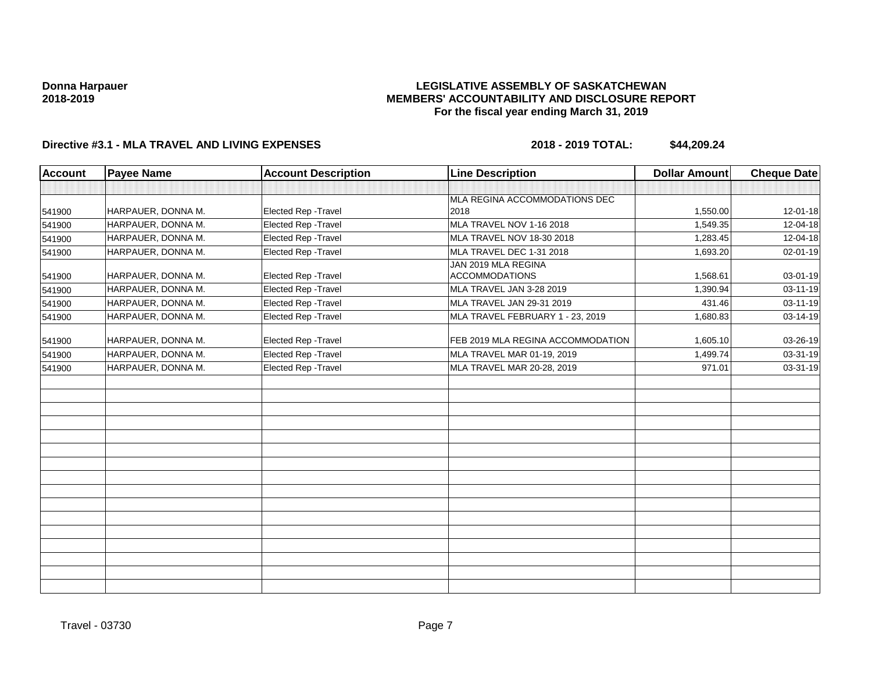### **LEGISLATIVE ASSEMBLY OF SASKATCHEWAN MEMBERS' ACCOUNTABILITY AND DISCLOSURE REPORT For the fiscal year ending March 31, 2019**

| <b>Account</b> | <b>Payee Name</b>  | <b>Account Description</b> | <b>Line Description</b>           | <b>Dollar Amount</b> | <b>Cheque Date</b> |
|----------------|--------------------|----------------------------|-----------------------------------|----------------------|--------------------|
|                |                    |                            |                                   |                      |                    |
|                |                    |                            | MLA REGINA ACCOMMODATIONS DEC     |                      |                    |
| 541900         | HARPAUER, DONNA M. | Elected Rep - Travel       | 2018                              | 1,550.00             | 12-01-18           |
| 541900         | HARPAUER, DONNA M. | Elected Rep - Travel       | MLA TRAVEL NOV 1-16 2018          | 1,549.35             | 12-04-18           |
| 541900         | HARPAUER, DONNA M. | Elected Rep - Travel       | MLA TRAVEL NOV 18-30 2018         | 1,283.45             | 12-04-18           |
| 541900         | HARPAUER, DONNA M. | Elected Rep - Travel       | MLA TRAVEL DEC 1-31 2018          | 1,693.20             | 02-01-19           |
|                |                    |                            | JAN 2019 MLA REGINA               |                      |                    |
| 541900         | HARPAUER, DONNA M. | Elected Rep - Travel       | <b>ACCOMMODATIONS</b>             | 1,568.61             | 03-01-19           |
| 541900         | HARPAUER, DONNA M. | Elected Rep - Travel       | MLA TRAVEL JAN 3-28 2019          | 1,390.94             | 03-11-19           |
| 541900         | HARPAUER, DONNA M. | Elected Rep - Travel       | MLA TRAVEL JAN 29-31 2019         | 431.46               | 03-11-19           |
| 541900         | HARPAUER, DONNA M. | Elected Rep - Travel       | MLA TRAVEL FEBRUARY 1 - 23, 2019  | 1,680.83             | 03-14-19           |
| 541900         | HARPAUER, DONNA M. | Elected Rep - Travel       | FEB 2019 MLA REGINA ACCOMMODATION | 1,605.10             | 03-26-19           |
| 541900         | HARPAUER, DONNA M. | Elected Rep - Travel       | MLA TRAVEL MAR 01-19, 2019        | 1,499.74             | 03-31-19           |
| 541900         | HARPAUER, DONNA M. | Elected Rep - Travel       | MLA TRAVEL MAR 20-28, 2019        | 971.01               | 03-31-19           |
|                |                    |                            |                                   |                      |                    |
|                |                    |                            |                                   |                      |                    |
|                |                    |                            |                                   |                      |                    |
|                |                    |                            |                                   |                      |                    |
|                |                    |                            |                                   |                      |                    |
|                |                    |                            |                                   |                      |                    |
|                |                    |                            |                                   |                      |                    |
|                |                    |                            |                                   |                      |                    |
|                |                    |                            |                                   |                      |                    |
|                |                    |                            |                                   |                      |                    |
|                |                    |                            |                                   |                      |                    |
|                |                    |                            |                                   |                      |                    |
|                |                    |                            |                                   |                      |                    |
|                |                    |                            |                                   |                      |                    |
|                |                    |                            |                                   |                      |                    |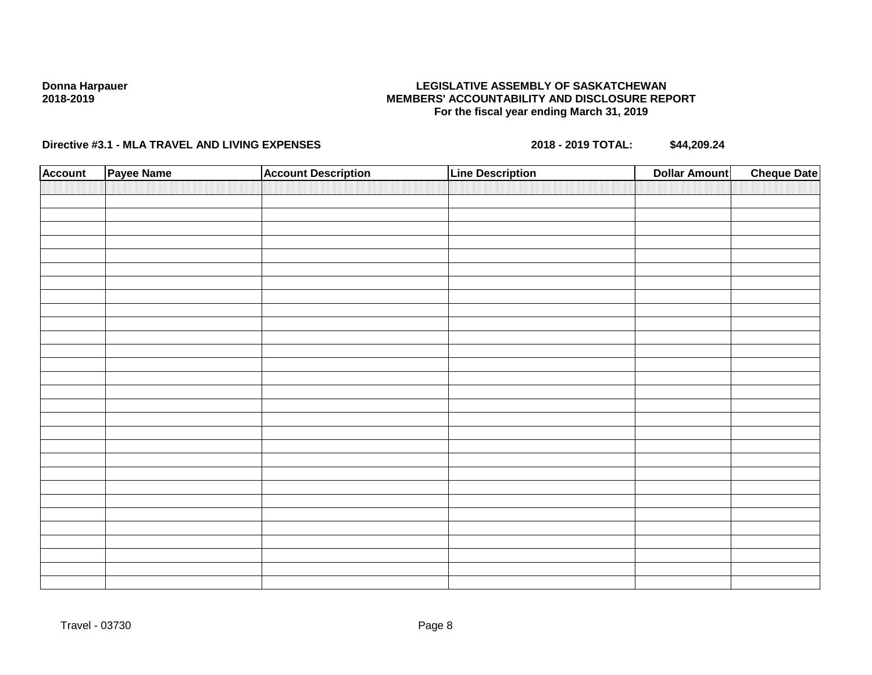### **LEGISLATIVE ASSEMBLY OF SASKATCHEWAN MEMBERS' ACCOUNTABILITY AND DISCLOSURE REPORT For the fiscal year ending March 31, 2019**

| <b>Account</b> | Payee Name | <b>Account Description</b> | <b>Line Description</b> | <b>Cheque Date</b><br><b>Dollar Amount</b> |
|----------------|------------|----------------------------|-------------------------|--------------------------------------------|
|                |            |                            |                         |                                            |
|                |            |                            |                         |                                            |
|                |            |                            |                         |                                            |
|                |            |                            |                         |                                            |
|                |            |                            |                         |                                            |
|                |            |                            |                         |                                            |
|                |            |                            |                         |                                            |
|                |            |                            |                         |                                            |
|                |            |                            |                         |                                            |
|                |            |                            |                         |                                            |
|                |            |                            |                         |                                            |
|                |            |                            |                         |                                            |
|                |            |                            |                         |                                            |
|                |            |                            |                         |                                            |
|                |            |                            |                         |                                            |
|                |            |                            |                         |                                            |
|                |            |                            |                         |                                            |
|                |            |                            |                         |                                            |
|                |            |                            |                         |                                            |
|                |            |                            |                         |                                            |
|                |            |                            |                         |                                            |
|                |            |                            |                         |                                            |
|                |            |                            |                         |                                            |
|                |            |                            |                         |                                            |
|                |            |                            |                         |                                            |
|                |            |                            |                         |                                            |
|                |            |                            |                         |                                            |
|                |            |                            |                         |                                            |
|                |            |                            |                         |                                            |
|                |            |                            |                         |                                            |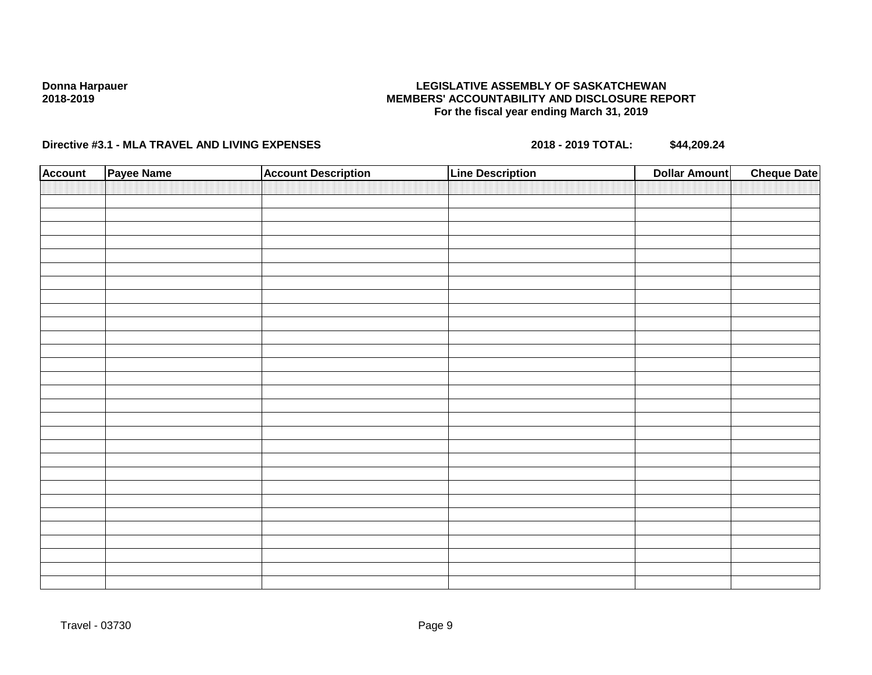### **LEGISLATIVE ASSEMBLY OF SASKATCHEWAN MEMBERS' ACCOUNTABILITY AND DISCLOSURE REPORT For the fiscal year ending March 31, 2019**

| <b>Account</b> | Payee Name | <b>Account Description</b> | <b>Line Description</b> | <b>Cheque Date</b><br><b>Dollar Amount</b> |
|----------------|------------|----------------------------|-------------------------|--------------------------------------------|
|                |            |                            |                         |                                            |
|                |            |                            |                         |                                            |
|                |            |                            |                         |                                            |
|                |            |                            |                         |                                            |
|                |            |                            |                         |                                            |
|                |            |                            |                         |                                            |
|                |            |                            |                         |                                            |
|                |            |                            |                         |                                            |
|                |            |                            |                         |                                            |
|                |            |                            |                         |                                            |
|                |            |                            |                         |                                            |
|                |            |                            |                         |                                            |
|                |            |                            |                         |                                            |
|                |            |                            |                         |                                            |
|                |            |                            |                         |                                            |
|                |            |                            |                         |                                            |
|                |            |                            |                         |                                            |
|                |            |                            |                         |                                            |
|                |            |                            |                         |                                            |
|                |            |                            |                         |                                            |
|                |            |                            |                         |                                            |
|                |            |                            |                         |                                            |
|                |            |                            |                         |                                            |
|                |            |                            |                         |                                            |
|                |            |                            |                         |                                            |
|                |            |                            |                         |                                            |
|                |            |                            |                         |                                            |
|                |            |                            |                         |                                            |
|                |            |                            |                         |                                            |
|                |            |                            |                         |                                            |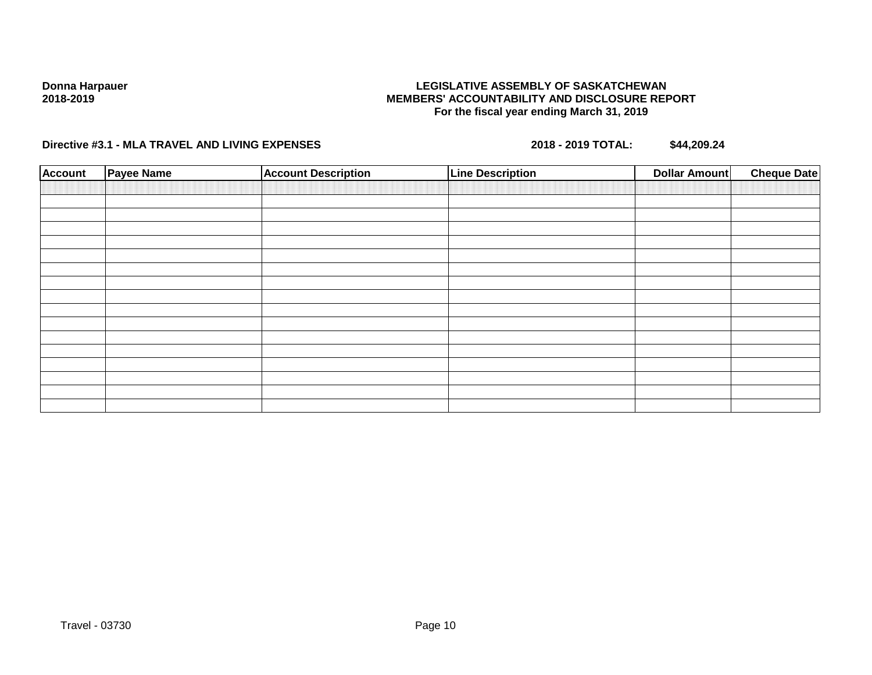### **LEGISLATIVE ASSEMBLY OF SASKATCHEWAN MEMBERS' ACCOUNTABILITY AND DISCLOSURE REPORT For the fiscal year ending March 31, 2019**

| <b>Account</b> | <b>Payee Name</b> | <b>Account Description</b> | <b>Line Description</b> | <b>Dollar Amount</b> | <b>Cheque Date</b> |
|----------------|-------------------|----------------------------|-------------------------|----------------------|--------------------|
|                |                   |                            |                         |                      |                    |
|                |                   |                            |                         |                      |                    |
|                |                   |                            |                         |                      |                    |
|                |                   |                            |                         |                      |                    |
|                |                   |                            |                         |                      |                    |
|                |                   |                            |                         |                      |                    |
|                |                   |                            |                         |                      |                    |
|                |                   |                            |                         |                      |                    |
|                |                   |                            |                         |                      |                    |
|                |                   |                            |                         |                      |                    |
|                |                   |                            |                         |                      |                    |
|                |                   |                            |                         |                      |                    |
|                |                   |                            |                         |                      |                    |
|                |                   |                            |                         |                      |                    |
|                |                   |                            |                         |                      |                    |
|                |                   |                            |                         |                      |                    |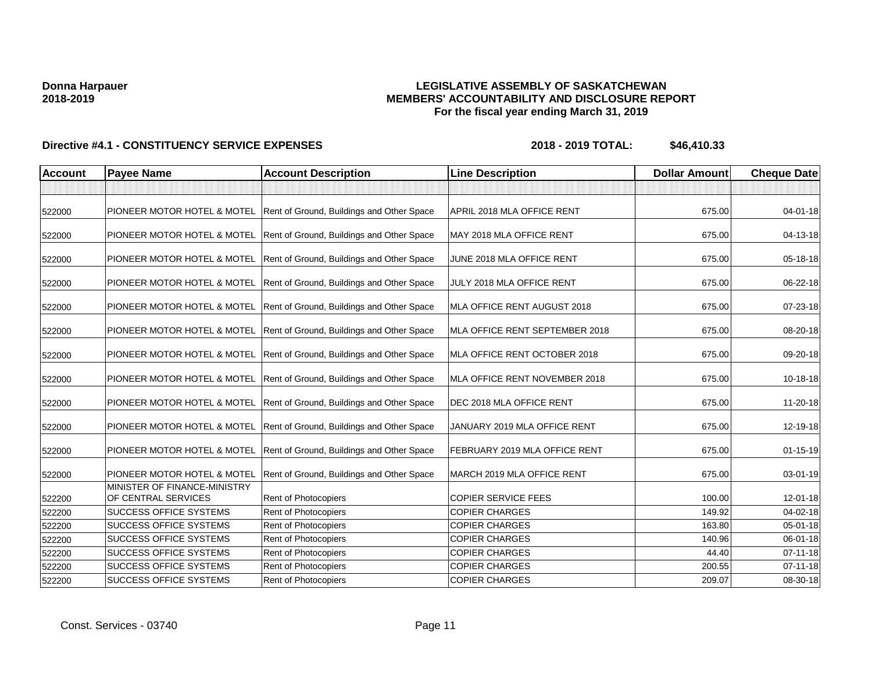### **LEGISLATIVE ASSEMBLY OF SASKATCHEWAN MEMBERS' ACCOUNTABILITY AND DISCLOSURE REPORT For the fiscal year ending March 31, 2019**

| <b>Account</b> | <b>Payee Name</b>                                           | <b>Account Description</b>                                            | <b>Line Description</b>        | <b>Dollar Amount</b> | <b>Cheque Date</b> |
|----------------|-------------------------------------------------------------|-----------------------------------------------------------------------|--------------------------------|----------------------|--------------------|
|                |                                                             |                                                                       |                                |                      |                    |
| 522000         |                                                             | PIONEER MOTOR HOTEL & MOTEL Rent of Ground, Buildings and Other Space | APRIL 2018 MLA OFFICE RENT     | 675.00               | $04 - 01 - 18$     |
| 522000         | PIONEER MOTOR HOTEL & MOTEL                                 | Rent of Ground, Buildings and Other Space                             | MAY 2018 MLA OFFICE RENT       | 675.00               | 04-13-18           |
| 522000         | PIONEER MOTOR HOTEL & MOTEL                                 | Rent of Ground, Buildings and Other Space                             | JUNE 2018 MLA OFFICE RENT      | 675.00               | 05-18-18           |
| 522000         | PIONEER MOTOR HOTEL & MOTEL                                 | Rent of Ground, Buildings and Other Space                             | JULY 2018 MLA OFFICE RENT      | 675.00               | 06-22-18           |
| 522000         |                                                             | PIONEER MOTOR HOTEL & MOTEL Rent of Ground, Buildings and Other Space | MLA OFFICE RENT AUGUST 2018    | 675.00               | 07-23-18           |
| 522000         |                                                             | PIONEER MOTOR HOTEL & MOTEL Rent of Ground, Buildings and Other Space | MLA OFFICE RENT SEPTEMBER 2018 | 675.00               | 08-20-18           |
| 522000         |                                                             | PIONEER MOTOR HOTEL & MOTEL Rent of Ground, Buildings and Other Space | MLA OFFICE RENT OCTOBER 2018   | 675.00               | 09-20-18           |
| 522000         |                                                             | PIONEER MOTOR HOTEL & MOTEL Rent of Ground, Buildings and Other Space | MLA OFFICE RENT NOVEMBER 2018  | 675.00               | 10-18-18           |
| 522000         |                                                             | PIONEER MOTOR HOTEL & MOTEL Rent of Ground, Buildings and Other Space | DEC 2018 MLA OFFICE RENT       | 675.00               | 11-20-18           |
| 522000         |                                                             | PIONEER MOTOR HOTEL & MOTEL Rent of Ground, Buildings and Other Space | JANUARY 2019 MLA OFFICE RENT   | 675.00               | 12-19-18           |
| 522000         | PIONEER MOTOR HOTEL & MOTEL                                 | Rent of Ground, Buildings and Other Space                             | FEBRUARY 2019 MLA OFFICE RENT  | 675.00               | $01 - 15 - 19$     |
| 522000         | PIONEER MOTOR HOTEL & MOTEL<br>MINISTER OF FINANCE-MINISTRY | Rent of Ground, Buildings and Other Space                             | MARCH 2019 MLA OFFICE RENT     | 675.00               | 03-01-19           |
| 522200         | OF CENTRAL SERVICES                                         | Rent of Photocopiers                                                  | <b>COPIER SERVICE FEES</b>     | 100.00               | 12-01-18           |
| 522200         | <b>SUCCESS OFFICE SYSTEMS</b>                               | Rent of Photocopiers                                                  | <b>COPIER CHARGES</b>          | 149.92               | 04-02-18           |
| 522200         | <b>SUCCESS OFFICE SYSTEMS</b>                               | <b>Rent of Photocopiers</b>                                           | <b>COPIER CHARGES</b>          | 163.80               | 05-01-18           |
| 522200         | <b>SUCCESS OFFICE SYSTEMS</b>                               | Rent of Photocopiers                                                  | <b>COPIER CHARGES</b>          | 140.96               | 06-01-18           |
| 522200         | <b>SUCCESS OFFICE SYSTEMS</b>                               | Rent of Photocopiers                                                  | <b>COPIER CHARGES</b>          | 44.40                | $07 - 11 - 18$     |
| 522200         | <b>SUCCESS OFFICE SYSTEMS</b>                               | Rent of Photocopiers                                                  | <b>COPIER CHARGES</b>          | 200.55               | $07 - 11 - 18$     |
| 522200         | <b>SUCCESS OFFICE SYSTEMS</b>                               | Rent of Photocopiers                                                  | <b>COPIER CHARGES</b>          | 209.07               | 08-30-18           |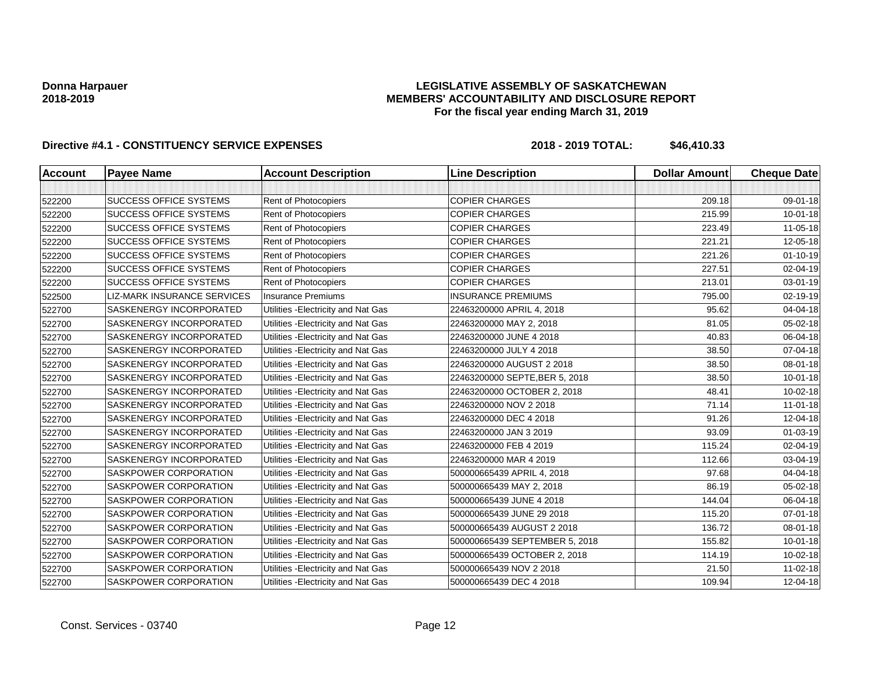### **LEGISLATIVE ASSEMBLY OF SASKATCHEWAN MEMBERS' ACCOUNTABILITY AND DISCLOSURE REPORT For the fiscal year ending March 31, 2019**

| <b>Account</b> | <b>Payee Name</b>                  | <b>Account Description</b>          | <b>Line Description</b>        | <b>Dollar Amount</b> | <b>Cheque Date</b> |
|----------------|------------------------------------|-------------------------------------|--------------------------------|----------------------|--------------------|
|                |                                    |                                     |                                |                      |                    |
| 522200         | <b>SUCCESS OFFICE SYSTEMS</b>      | Rent of Photocopiers                | <b>COPIER CHARGES</b>          | 209.18               | 09-01-18           |
| 522200         | <b>SUCCESS OFFICE SYSTEMS</b>      | Rent of Photocopiers                | <b>COPIER CHARGES</b>          | 215.99               | $10 - 01 - 18$     |
| 522200         | <b>SUCCESS OFFICE SYSTEMS</b>      | Rent of Photocopiers                | <b>COPIER CHARGES</b>          | 223.49               | 11-05-18           |
| 522200         | <b>SUCCESS OFFICE SYSTEMS</b>      | Rent of Photocopiers                | <b>COPIER CHARGES</b>          | 221.21               | 12-05-18           |
| 522200         | <b>SUCCESS OFFICE SYSTEMS</b>      | Rent of Photocopiers                | <b>COPIER CHARGES</b>          | 221.26               | $01 - 10 - 19$     |
| 522200         | <b>SUCCESS OFFICE SYSTEMS</b>      | <b>Rent of Photocopiers</b>         | <b>COPIER CHARGES</b>          | 227.51               | 02-04-19           |
| 522200         | <b>SUCCESS OFFICE SYSTEMS</b>      | Rent of Photocopiers                | <b>COPIER CHARGES</b>          | 213.01               | 03-01-19           |
| 522500         | <b>LIZ-MARK INSURANCE SERVICES</b> | <b>Insurance Premiums</b>           | <b>INSURANCE PREMIUMS</b>      | 795.00               | 02-19-19           |
| 522700         | SASKENERGY INCORPORATED            | Utilities - Electricity and Nat Gas | 22463200000 APRIL 4, 2018      | 95.62                | 04-04-18           |
| 522700         | SASKENERGY INCORPORATED            | Utilities - Electricity and Nat Gas | 22463200000 MAY 2, 2018        | 81.05                | 05-02-18           |
| 522700         | <b>SASKENERGY INCORPORATED</b>     | Utilities - Electricity and Nat Gas | 22463200000 JUNE 4 2018        | 40.83                | 06-04-18           |
| 522700         | SASKENERGY INCORPORATED            | Utilities - Electricity and Nat Gas | 22463200000 JULY 4 2018        | 38.50                | 07-04-18           |
| 522700         | SASKENERGY INCORPORATED            | Utilities - Electricity and Nat Gas | 22463200000 AUGUST 2 2018      | 38.50                | 08-01-18           |
| 522700         | <b>SASKENERGY INCORPORATED</b>     | Utilities - Electricity and Nat Gas | 22463200000 SEPTE, BER 5, 2018 | 38.50                | $10 - 01 - 18$     |
| 522700         | SASKENERGY INCORPORATED            | Utilities - Electricity and Nat Gas | 22463200000 OCTOBER 2, 2018    | 48.41                | 10-02-18           |
| 522700         | <b>SASKENERGY INCORPORATED</b>     | Utilities - Electricity and Nat Gas | 22463200000 NOV 2 2018         | 71.14                | $11 - 01 - 18$     |
| 522700         | SASKENERGY INCORPORATED            | Utilities - Electricity and Nat Gas | 22463200000 DEC 4 2018         | 91.26                | 12-04-18           |
| 522700         | SASKENERGY INCORPORATED            | Utilities - Electricity and Nat Gas | 22463200000 JAN 3 2019         | 93.09                | 01-03-19           |
| 522700         | <b>SASKENERGY INCORPORATED</b>     | Utilities - Electricity and Nat Gas | 22463200000 FEB 4 2019         | 115.24               | 02-04-19           |
| 522700         | SASKENERGY INCORPORATED            | Utilities - Electricity and Nat Gas | 22463200000 MAR 4 2019         | 112.66               | 03-04-19           |
| 522700         | <b>SASKPOWER CORPORATION</b>       | Utilities - Electricity and Nat Gas | 500000665439 APRIL 4, 2018     | 97.68                | 04-04-18           |
| 522700         | <b>SASKPOWER CORPORATION</b>       | Utilities - Electricity and Nat Gas | 500000665439 MAY 2, 2018       | 86.19                | 05-02-18           |
| 522700         | SASKPOWER CORPORATION              | Utilities - Electricity and Nat Gas | 500000665439 JUNE 4 2018       | 144.04               | 06-04-18           |
| 522700         | SASKPOWER CORPORATION              | Utilities - Electricity and Nat Gas | 500000665439 JUNE 29 2018      | 115.20               | 07-01-18           |
| 522700         | SASKPOWER CORPORATION              | Utilities - Electricity and Nat Gas | 500000665439 AUGUST 2 2018     | 136.72               | 08-01-18           |
| 522700         | <b>SASKPOWER CORPORATION</b>       | Utilities - Electricity and Nat Gas | 500000665439 SEPTEMBER 5, 2018 | 155.82               | $10 - 01 - 18$     |
| 522700         | <b>SASKPOWER CORPORATION</b>       | Utilities - Electricity and Nat Gas | 500000665439 OCTOBER 2, 2018   | 114.19               | $10 - 02 - 18$     |
| 522700         | SASKPOWER CORPORATION              | Utilities - Electricity and Nat Gas | 500000665439 NOV 2 2018        | 21.50                | 11-02-18           |
| 522700         | SASKPOWER CORPORATION              | Utilities - Electricity and Nat Gas | 500000665439 DEC 4 2018        | 109.94               | 12-04-18           |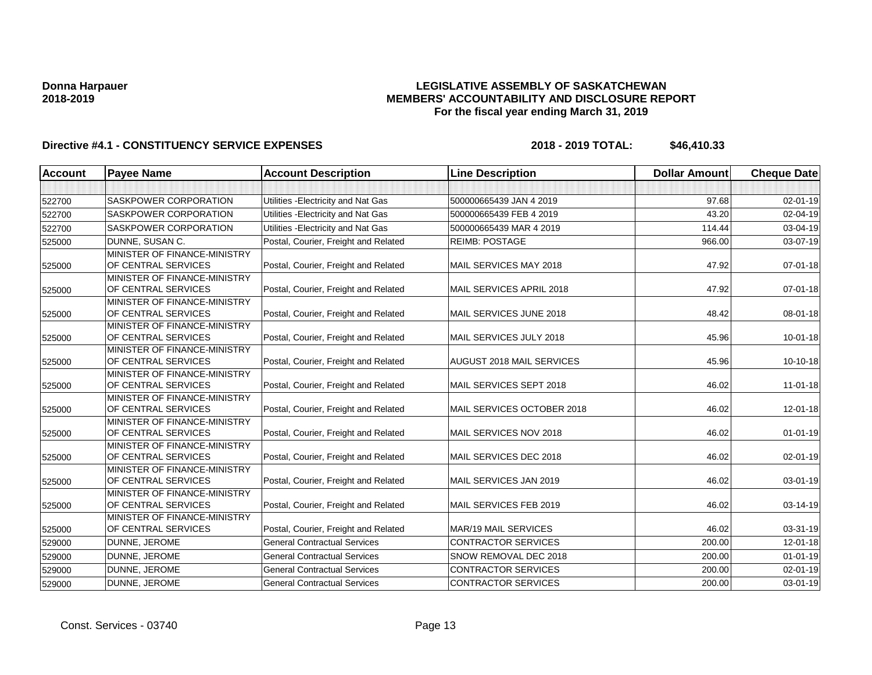### **LEGISLATIVE ASSEMBLY OF SASKATCHEWAN MEMBERS' ACCOUNTABILITY AND DISCLOSURE REPORT For the fiscal year ending March 31, 2019**

| <b>Account</b> | <b>Payee Name</b>                                   | <b>Account Description</b>           | <b>Line Description</b>          | <b>Dollar Amount</b> | <b>Cheque Date</b> |
|----------------|-----------------------------------------------------|--------------------------------------|----------------------------------|----------------------|--------------------|
|                |                                                     |                                      |                                  |                      |                    |
| 522700         | <b>SASKPOWER CORPORATION</b>                        | Utilities - Electricity and Nat Gas  | 500000665439 JAN 4 2019          | 97.68                | 02-01-19           |
| 522700         | <b>SASKPOWER CORPORATION</b>                        | Utilities - Electricity and Nat Gas  | 500000665439 FEB 4 2019          | 43.20                | 02-04-19           |
| 522700         | SASKPOWER CORPORATION                               | Utilities - Electricity and Nat Gas  | 500000665439 MAR 4 2019          | 114.44               | 03-04-19           |
| 525000         | DUNNE, SUSAN C.                                     | Postal, Courier, Freight and Related | <b>REIMB: POSTAGE</b>            | 966.00               | 03-07-19           |
| 525000         | MINISTER OF FINANCE-MINISTRY<br>OF CENTRAL SERVICES | Postal, Courier, Freight and Related | MAIL SERVICES MAY 2018           | 47.92                | 07-01-18           |
| 525000         | MINISTER OF FINANCE-MINISTRY<br>OF CENTRAL SERVICES | Postal, Courier, Freight and Related | MAIL SERVICES APRIL 2018         | 47.92                | $07 - 01 - 18$     |
| 525000         | MINISTER OF FINANCE-MINISTRY<br>OF CENTRAL SERVICES | Postal, Courier, Freight and Related | MAIL SERVICES JUNE 2018          | 48.42                | $08 - 01 - 18$     |
| 525000         | MINISTER OF FINANCE-MINISTRY<br>OF CENTRAL SERVICES | Postal, Courier, Freight and Related | MAIL SERVICES JULY 2018          | 45.96                | $10-01-18$         |
| 525000         | MINISTER OF FINANCE-MINISTRY<br>OF CENTRAL SERVICES | Postal, Courier, Freight and Related | <b>AUGUST 2018 MAIL SERVICES</b> | 45.96                | 10-10-18           |
| 525000         | MINISTER OF FINANCE-MINISTRY<br>OF CENTRAL SERVICES | Postal, Courier, Freight and Related | MAIL SERVICES SEPT 2018          | 46.02                | $11 - 01 - 18$     |
| 525000         | MINISTER OF FINANCE-MINISTRY<br>OF CENTRAL SERVICES | Postal, Courier, Freight and Related | MAIL SERVICES OCTOBER 2018       | 46.02                | 12-01-18           |
| 525000         | MINISTER OF FINANCE-MINISTRY<br>OF CENTRAL SERVICES | Postal, Courier, Freight and Related | MAIL SERVICES NOV 2018           | 46.02                | $01 - 01 - 19$     |
| 525000         | MINISTER OF FINANCE-MINISTRY<br>OF CENTRAL SERVICES | Postal, Courier, Freight and Related | MAIL SERVICES DEC 2018           | 46.02                | 02-01-19           |
| 525000         | MINISTER OF FINANCE-MINISTRY<br>OF CENTRAL SERVICES | Postal, Courier, Freight and Related | MAIL SERVICES JAN 2019           | 46.02                | 03-01-19           |
| 525000         | MINISTER OF FINANCE-MINISTRY<br>OF CENTRAL SERVICES | Postal, Courier, Freight and Related | MAIL SERVICES FEB 2019           | 46.02                | 03-14-19           |
| 525000         | MINISTER OF FINANCE-MINISTRY<br>OF CENTRAL SERVICES | Postal, Courier, Freight and Related | MAR/19 MAIL SERVICES             | 46.02                | 03-31-19           |
| 529000         | DUNNE, JEROME                                       | <b>General Contractual Services</b>  | <b>CONTRACTOR SERVICES</b>       | 200.00               | 12-01-18           |
| 529000         | DUNNE, JEROME                                       | <b>General Contractual Services</b>  | SNOW REMOVAL DEC 2018            | 200.00               | $01 - 01 - 19$     |
| 529000         | DUNNE, JEROME                                       | <b>General Contractual Services</b>  | <b>CONTRACTOR SERVICES</b>       | 200.00               | 02-01-19           |
| 529000         | DUNNE, JEROME                                       | <b>General Contractual Services</b>  | <b>CONTRACTOR SERVICES</b>       | 200.00               | $03 - 01 - 19$     |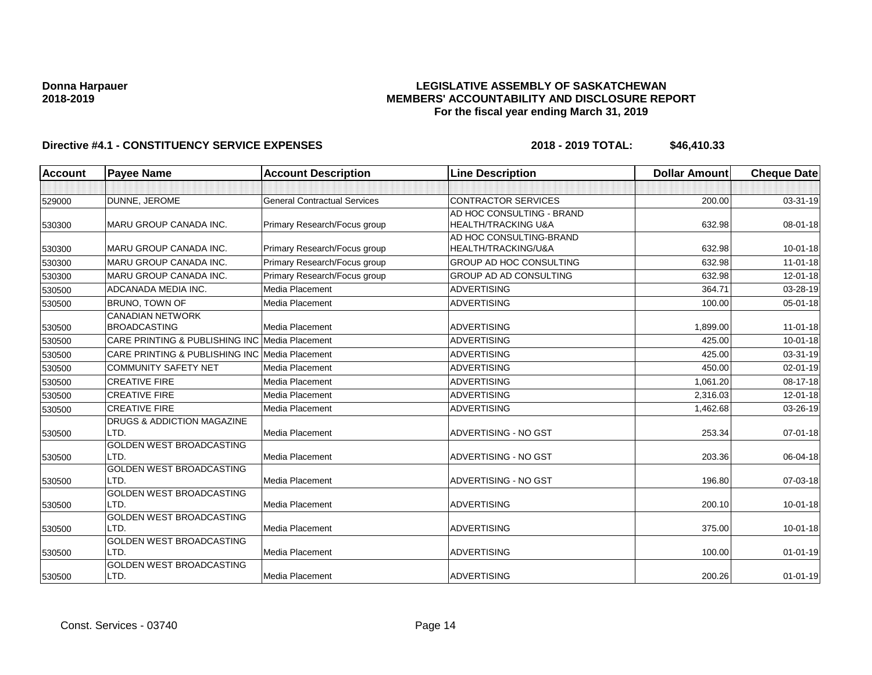### **LEGISLATIVE ASSEMBLY OF SASKATCHEWAN MEMBERS' ACCOUNTABILITY AND DISCLOSURE REPORT For the fiscal year ending March 31, 2019**

| Account | <b>Payee Name</b>                              | <b>Account Description</b>          | <b>Line Description</b>        | <b>Dollar Amount</b> | <b>Cheque Date</b> |
|---------|------------------------------------------------|-------------------------------------|--------------------------------|----------------------|--------------------|
|         |                                                |                                     |                                |                      |                    |
| 529000  | DUNNE, JEROME                                  | <b>General Contractual Services</b> | <b>CONTRACTOR SERVICES</b>     | 200.00               | 03-31-19           |
|         |                                                |                                     | AD HOC CONSULTING - BRAND      |                      |                    |
| 530300  | <b>MARU GROUP CANADA INC.</b>                  | Primary Research/Focus group        | <b>HEALTH/TRACKING U&amp;A</b> | 632.98               | 08-01-18           |
|         |                                                |                                     | AD HOC CONSULTING-BRAND        |                      |                    |
| 530300  | MARU GROUP CANADA INC.                         | Primary Research/Focus group        | HEALTH/TRACKING/U&A            | 632.98               | $10 - 01 - 18$     |
| 530300  | <b>MARU GROUP CANADA INC.</b>                  | Primary Research/Focus group        | <b>GROUP AD HOC CONSULTING</b> | 632.98               | $11-01-18$         |
| 530300  | MARU GROUP CANADA INC.                         | Primary Research/Focus group        | GROUP AD AD CONSULTING         | 632.98               | $12 - 01 - 18$     |
| 530500  | ADCANADA MEDIA INC.                            | Media Placement                     | <b>ADVERTISING</b>             | 364.71               | 03-28-19           |
| 530500  | <b>BRUNO, TOWN OF</b>                          | Media Placement                     | <b>ADVERTISING</b>             | 100.00               | 05-01-18           |
|         | <b>CANADIAN NETWORK</b>                        |                                     |                                |                      |                    |
| 530500  | <b>BROADCASTING</b>                            | Media Placement                     | <b>ADVERTISING</b>             | 1,899.00             | $11-01-18$         |
| 530500  | CARE PRINTING & PUBLISHING INC Media Placement |                                     | <b>ADVERTISING</b>             | 425.00               | $10 - 01 - 18$     |
| 530500  | CARE PRINTING & PUBLISHING INC Media Placement |                                     | <b>ADVERTISING</b>             | 425.00               | 03-31-19           |
| 530500  | <b>COMMUNITY SAFETY NET</b>                    | Media Placement                     | <b>ADVERTISING</b>             | 450.00               | $02 - 01 - 19$     |
| 530500  | <b>CREATIVE FIRE</b>                           | Media Placement                     | <b>ADVERTISING</b>             | 1,061.20             | 08-17-18           |
| 530500  | <b>CREATIVE FIRE</b>                           | Media Placement                     | <b>ADVERTISING</b>             | 2,316.03             | $12 - 01 - 18$     |
| 530500  | <b>CREATIVE FIRE</b>                           | Media Placement                     | <b>ADVERTISING</b>             | 1,462.68             | 03-26-19           |
|         | DRUGS & ADDICTION MAGAZINE                     |                                     |                                |                      |                    |
| 530500  | LTD.                                           | <b>Media Placement</b>              | ADVERTISING - NO GST           | 253.34               | $07 - 01 - 18$     |
|         | <b>GOLDEN WEST BROADCASTING</b>                |                                     |                                |                      |                    |
| 530500  | LTD.                                           | Media Placement                     | <b>ADVERTISING - NO GST</b>    | 203.36               | 06-04-18           |
|         | <b>GOLDEN WEST BROADCASTING</b>                |                                     |                                |                      |                    |
| 530500  | LTD.                                           | Media Placement                     | ADVERTISING - NO GST           | 196.80               | 07-03-18           |
|         | <b>GOLDEN WEST BROADCASTING</b>                |                                     |                                |                      |                    |
| 530500  | LTD.                                           | Media Placement                     | <b>ADVERTISING</b>             | 200.10               | $10 - 01 - 18$     |
|         | GOLDEN WEST BROADCASTING                       |                                     |                                |                      |                    |
| 530500  | LTD.                                           | Media Placement                     | <b>ADVERTISING</b>             | 375.00               | $10 - 01 - 18$     |
|         | <b>GOLDEN WEST BROADCASTING</b><br>LTD.        | Media Placement                     | <b>ADVERTISING</b>             | 100.00               |                    |
| 530500  | GOLDEN WEST BROADCASTING                       |                                     |                                |                      | $01 - 01 - 19$     |
| 530500  | LTD.                                           | Media Placement                     | <b>ADVERTISING</b>             | 200.26               | $01 - 01 - 19$     |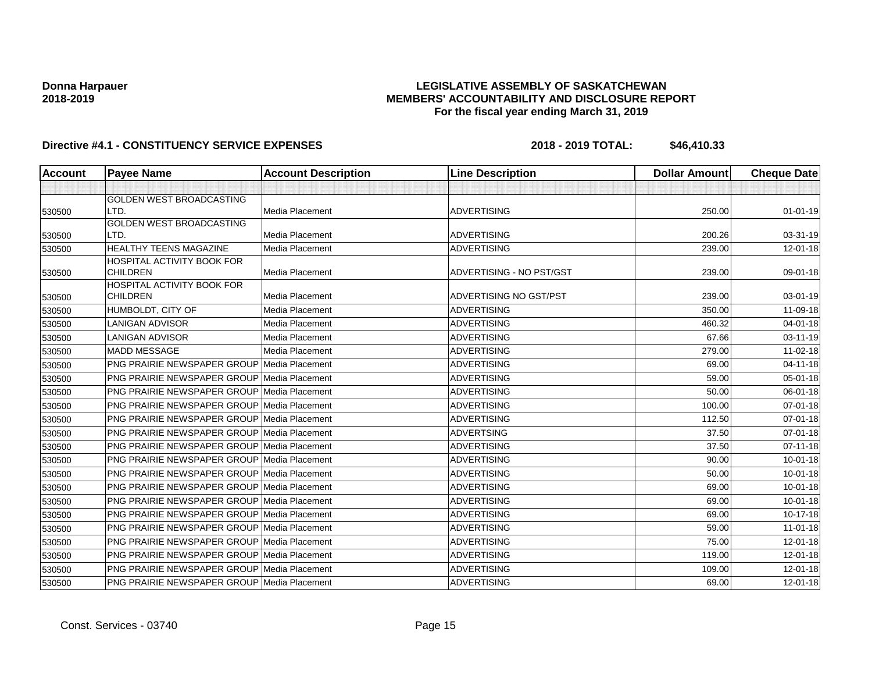### **LEGISLATIVE ASSEMBLY OF SASKATCHEWAN MEMBERS' ACCOUNTABILITY AND DISCLOSURE REPORT For the fiscal year ending March 31, 2019**

| <b>Account</b> | <b>Payee Name</b>                                  | <b>Account Description</b> | <b>Line Description</b>  | <b>Dollar Amount</b> | <b>Cheque Date</b> |
|----------------|----------------------------------------------------|----------------------------|--------------------------|----------------------|--------------------|
|                |                                                    |                            |                          |                      |                    |
|                | GOLDEN WEST BROADCASTING                           |                            |                          |                      |                    |
| 530500         | LTD.                                               | <b>Media Placement</b>     | <b>ADVERTISING</b>       | 250.00               | $01 - 01 - 19$     |
|                | GOLDEN WEST BROADCASTING                           |                            |                          |                      |                    |
| 530500         | LTD.                                               | <b>Media Placement</b>     | <b>ADVERTISING</b>       | 200.26               | 03-31-19           |
| 530500         | <b>HEALTHY TEENS MAGAZINE</b>                      | Media Placement            | <b>ADVERTISING</b>       | 239.00               | $12 - 01 - 18$     |
|                | HOSPITAL ACTIVITY BOOK FOR                         |                            |                          |                      |                    |
| 530500         | <b>CHILDREN</b>                                    | Media Placement            | ADVERTISING - NO PST/GST | 239.00               | 09-01-18           |
| 530500         | HOSPITAL ACTIVITY BOOK FOR<br><b>CHILDREN</b>      | Media Placement            | ADVERTISING NO GST/PST   | 239.00               | 03-01-19           |
| 530500         | HUMBOLDT, CITY OF                                  | <b>Media Placement</b>     | <b>ADVERTISING</b>       | 350.00               | 11-09-18           |
| 530500         | <b>LANIGAN ADVISOR</b>                             | Media Placement            | <b>ADVERTISING</b>       | 460.32               | $04 - 01 - 18$     |
| 530500         | <b>LANIGAN ADVISOR</b>                             | Media Placement            | <b>ADVERTISING</b>       | 67.66                | 03-11-19           |
| 530500         | <b>MADD MESSAGE</b>                                | Media Placement            | <b>ADVERTISING</b>       | 279.00               | $11-02-18$         |
| 530500         | <b>PNG PRAIRIE NEWSPAPER GROUP Media Placement</b> |                            | <b>ADVERTISING</b>       | 69.00                | 04-11-18           |
| 530500         | <b>PNG PRAIRIE NEWSPAPER GROUP Media Placement</b> |                            | ADVERTISING              | 59.00                | 05-01-18           |
| 530500         | <b>PNG PRAIRIE NEWSPAPER GROUP Media Placement</b> |                            | <b>ADVERTISING</b>       | 50.00                | 06-01-18           |
| 530500         | <b>PNG PRAIRIE NEWSPAPER GROUP Media Placement</b> |                            | <b>ADVERTISING</b>       | 100.00               | 07-01-18           |
| 530500         | <b>PNG PRAIRIE NEWSPAPER GROUP Media Placement</b> |                            | <b>ADVERTISING</b>       | 112.50               | 07-01-18           |
| 530500         | <b>PNG PRAIRIE NEWSPAPER GROUP Media Placement</b> |                            | <b>ADVERTSING</b>        | 37.50                | $07 - 01 - 18$     |
| 530500         | <b>PNG PRAIRIE NEWSPAPER GROUP Media Placement</b> |                            | <b>ADVERTISING</b>       | 37.50                | $07 - 11 - 18$     |
| 530500         | <b>PNG PRAIRIE NEWSPAPER GROUP Media Placement</b> |                            | <b>ADVERTISING</b>       | 90.00                | 10-01-18           |
| 530500         | <b>PNG PRAIRIE NEWSPAPER GROUP Media Placement</b> |                            | <b>ADVERTISING</b>       | 50.00                | $10 - 01 - 18$     |
| 530500         | PNG PRAIRIE NEWSPAPER GROUP Media Placement        |                            | <b>ADVERTISING</b>       | 69.00                | 10-01-18           |
| 530500         | PNG PRAIRIE NEWSPAPER GROUP Media Placement        |                            | <b>ADVERTISING</b>       | 69.00                | $10 - 01 - 18$     |
| 530500         | PNG PRAIRIE NEWSPAPER GROUP Media Placement        |                            | <b>ADVERTISING</b>       | 69.00                | $10-17-18$         |
| 530500         | <b>PNG PRAIRIE NEWSPAPER GROUP Media Placement</b> |                            | <b>ADVERTISING</b>       | 59.00                | $11-01-18$         |
| 530500         | <b>PNG PRAIRIE NEWSPAPER GROUP Media Placement</b> |                            | <b>ADVERTISING</b>       | 75.00                | $12 - 01 - 18$     |
| 530500         | PNG PRAIRIE NEWSPAPER GROUP Media Placement        |                            | ADVERTISING              | 119.00               | $12 - 01 - 18$     |
| 530500         | <b>PNG PRAIRIE NEWSPAPER GROUP Media Placement</b> |                            | <b>ADVERTISING</b>       | 109.00               | $12 - 01 - 18$     |
| 530500         | <b>PNG PRAIRIE NEWSPAPER GROUP Media Placement</b> |                            | <b>ADVERTISING</b>       | 69.00                | $12 - 01 - 18$     |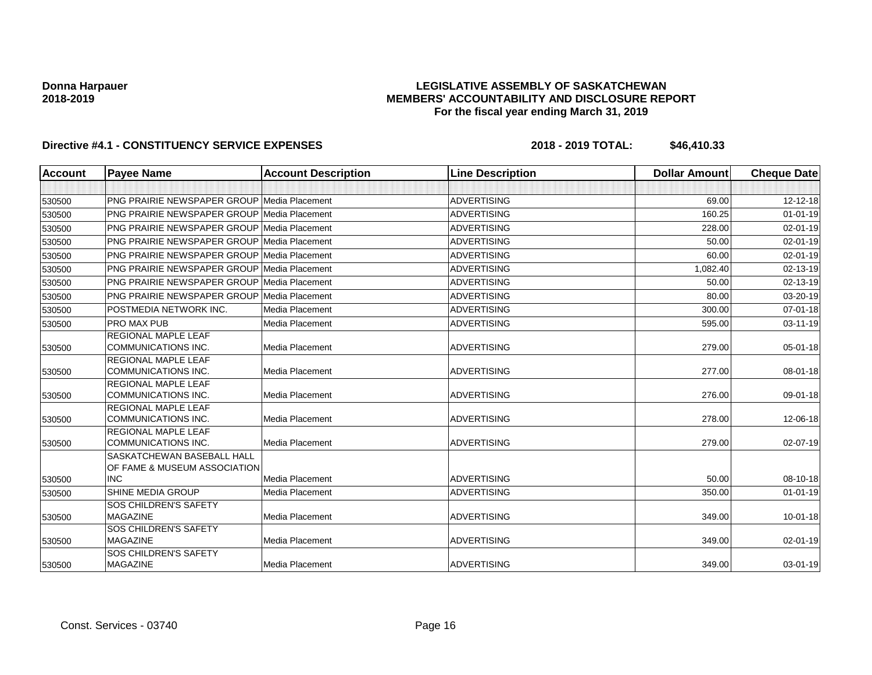### **LEGISLATIVE ASSEMBLY OF SASKATCHEWAN MEMBERS' ACCOUNTABILITY AND DISCLOSURE REPORT For the fiscal year ending March 31, 2019**

| <b>Account</b> | <b>Payee Name</b>                                                 | <b>Account Description</b> | <b>Line Description</b> | <b>Dollar Amount</b> | <b>Cheque Date</b> |
|----------------|-------------------------------------------------------------------|----------------------------|-------------------------|----------------------|--------------------|
|                |                                                                   |                            |                         |                      |                    |
| 530500         | <b>PNG PRAIRIE NEWSPAPER GROUP Media Placement</b>                |                            | <b>ADVERTISING</b>      | 69.00                | 12-12-18           |
| 530500         | <b>PNG PRAIRIE NEWSPAPER GROUP Media Placement</b>                |                            | <b>ADVERTISING</b>      | 160.25               | $01 - 01 - 19$     |
| 530500         | <b>PNG PRAIRIE NEWSPAPER GROUP Media Placement</b>                |                            | <b>ADVERTISING</b>      | 228.00               | $02 - 01 - 19$     |
| 530500         | <b>PNG PRAIRIE NEWSPAPER GROUP Media Placement</b>                |                            | <b>ADVERTISING</b>      | 50.00                | $02 - 01 - 19$     |
| 530500         | <b>PNG PRAIRIE NEWSPAPER GROUP Media Placement</b>                |                            | <b>ADVERTISING</b>      | 60.00                | $02 - 01 - 19$     |
| 530500         | <b>PNG PRAIRIE NEWSPAPER GROUP Media Placement</b>                |                            | <b>ADVERTISING</b>      | 1,082.40             | 02-13-19           |
| 530500         | <b>PNG PRAIRIE NEWSPAPER GROUP Media Placement</b>                |                            | <b>ADVERTISING</b>      | 50.00                | 02-13-19           |
| 530500         | <b>PNG PRAIRIE NEWSPAPER GROUP Media Placement</b>                |                            | <b>ADVERTISING</b>      | 80.00                | 03-20-19           |
| 530500         | POSTMEDIA NETWORK INC.                                            | Media Placement            | <b>ADVERTISING</b>      | 300.00               | $07 - 01 - 18$     |
| 530500         | <b>PRO MAX PUB</b>                                                | Media Placement            | <b>ADVERTISING</b>      | 595.00               | $03 - 11 - 19$     |
| 530500         | <b>REGIONAL MAPLE LEAF</b><br><b>COMMUNICATIONS INC.</b>          | Media Placement            | <b>ADVERTISING</b>      | 279.00               | $05 - 01 - 18$     |
| 530500         | <b>REGIONAL MAPLE LEAF</b><br><b>COMMUNICATIONS INC.</b>          | Media Placement            | <b>ADVERTISING</b>      | 277.00               | 08-01-18           |
| 530500         | REGIONAL MAPLE LEAF<br><b>COMMUNICATIONS INC.</b>                 | Media Placement            | <b>ADVERTISING</b>      | 276.00               | 09-01-18           |
| 530500         | REGIONAL MAPLE LEAF<br><b>COMMUNICATIONS INC.</b>                 | Media Placement            | <b>ADVERTISING</b>      | 278.00               | 12-06-18           |
| 530500         | <b>REGIONAL MAPLE LEAF</b><br><b>COMMUNICATIONS INC.</b>          | Media Placement            | <b>ADVERTISING</b>      | 279.00               | 02-07-19           |
|                | <b>SASKATCHEWAN BASEBALL HALL</b><br>OF FAME & MUSEUM ASSOCIATION |                            |                         |                      |                    |
| 530500         | <b>INC</b>                                                        | Media Placement            | <b>ADVERTISING</b>      | 50.00                | 08-10-18           |
| 530500         | SHINE MEDIA GROUP                                                 | Media Placement            | <b>ADVERTISING</b>      | 350.00               | $01 - 01 - 19$     |
| 530500         | <b>SOS CHILDREN'S SAFETY</b><br><b>MAGAZINE</b>                   | Media Placement            | <b>ADVERTISING</b>      | 349.00               | $10 - 01 - 18$     |
| 530500         | SOS CHILDREN'S SAFETY<br>MAGAZINE                                 | Media Placement            | <b>ADVERTISING</b>      | 349.00               | 02-01-19           |
| 530500         | SOS CHILDREN'S SAFETY<br>MAGAZINE                                 | Media Placement            | <b>ADVERTISING</b>      | 349.00               | 03-01-19           |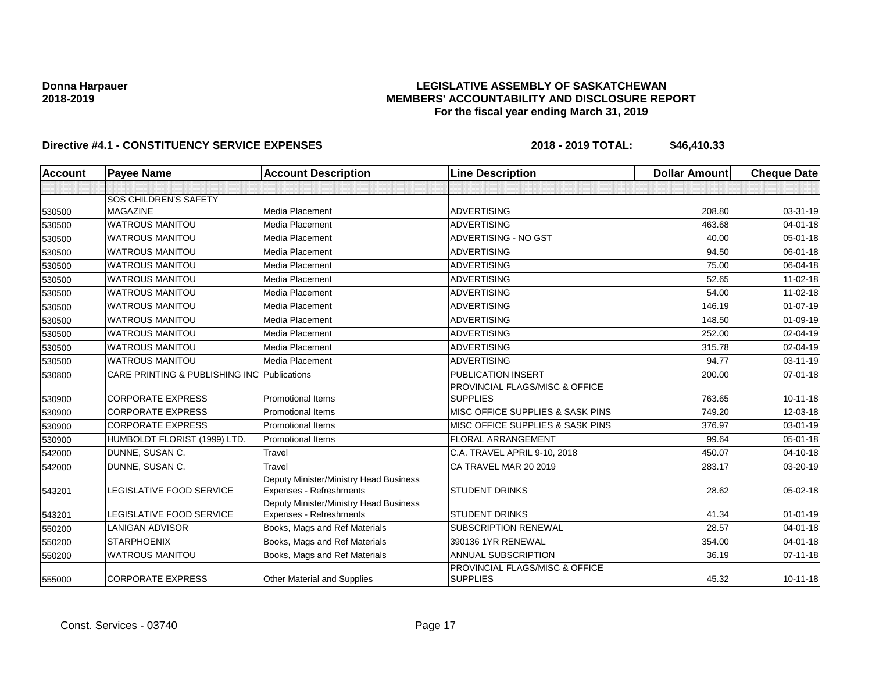### **LEGISLATIVE ASSEMBLY OF SASKATCHEWAN MEMBERS' ACCOUNTABILITY AND DISCLOSURE REPORT For the fiscal year ending March 31, 2019**

| <b>Account</b> | <b>Payee Name</b>                           | <b>Account Description</b>                                        | <b>Line Description</b>                           | <b>Dollar Amount</b> | <b>Cheque Date</b> |
|----------------|---------------------------------------------|-------------------------------------------------------------------|---------------------------------------------------|----------------------|--------------------|
|                |                                             |                                                                   |                                                   |                      |                    |
|                | SOS CHILDREN'S SAFETY                       |                                                                   |                                                   |                      |                    |
| 530500         | <b>MAGAZINE</b>                             | Media Placement                                                   | <b>ADVERTISING</b>                                | 208.80               | 03-31-19           |
| 530500         | <b>WATROUS MANITOU</b>                      | Media Placement                                                   | <b>ADVERTISING</b>                                | 463.68               | $04 - 01 - 18$     |
| 530500         | <b>WATROUS MANITOU</b>                      | Media Placement                                                   | ADVERTISING - NO GST                              | 40.00                | $05 - 01 - 18$     |
| 530500         | <b>WATROUS MANITOU</b>                      | Media Placement                                                   | <b>ADVERTISING</b>                                | 94.50                | 06-01-18           |
| 530500         | <b>WATROUS MANITOU</b>                      | Media Placement                                                   | <b>ADVERTISING</b>                                | 75.00                | 06-04-18           |
| 530500         | <b>WATROUS MANITOU</b>                      | Media Placement                                                   | <b>ADVERTISING</b>                                | 52.65                | 11-02-18           |
| 530500         | <b>WATROUS MANITOU</b>                      | Media Placement                                                   | <b>ADVERTISING</b>                                | 54.00                | 11-02-18           |
| 530500         | <b>WATROUS MANITOU</b>                      | Media Placement                                                   | <b>ADVERTISING</b>                                | 146.19               | $01-07-19$         |
| 530500         | <b>WATROUS MANITOU</b>                      | Media Placement                                                   | <b>ADVERTISING</b>                                | 148.50               | 01-09-19           |
| 530500         | <b>WATROUS MANITOU</b>                      | Media Placement                                                   | <b>ADVERTISING</b>                                | 252.00               | 02-04-19           |
| 530500         | <b>WATROUS MANITOU</b>                      | Media Placement                                                   | <b>ADVERTISING</b>                                | 315.78               | 02-04-19           |
| 530500         | <b>WATROUS MANITOU</b>                      | Media Placement                                                   | <b>ADVERTISING</b>                                | 94.77                | 03-11-19           |
| 530800         | CARE PRINTING & PUBLISHING INC Publications |                                                                   | PUBLICATION INSERT                                | 200.00               | $07 - 01 - 18$     |
| 530900         | <b>CORPORATE EXPRESS</b>                    | <b>Promotional Items</b>                                          | PROVINCIAL FLAGS/MISC & OFFICE<br><b>SUPPLIES</b> | 763.65               | $10 - 11 - 18$     |
| 530900         | <b>CORPORATE EXPRESS</b>                    | <b>Promotional Items</b>                                          | MISC OFFICE SUPPLIES & SASK PINS                  | 749.20               | 12-03-18           |
|                | <b>CORPORATE EXPRESS</b>                    | <b>Promotional Items</b>                                          | MISC OFFICE SUPPLIES & SASK PINS                  | 376.97               | 03-01-19           |
| 530900         | HUMBOLDT FLORIST (1999) LTD.                | <b>Promotional Items</b>                                          | <b>FLORAL ARRANGEMENT</b>                         | 99.64                | 05-01-18           |
| 530900         | DUNNE, SUSAN C.                             | Travel                                                            | C.A. TRAVEL APRIL 9-10, 2018                      | 450.07               | 04-10-18           |
| 542000         |                                             | Travel                                                            |                                                   | 283.17               |                    |
| 542000         | DUNNE, SUSAN C.                             |                                                                   | CA TRAVEL MAR 20 2019                             |                      | 03-20-19           |
| 543201         | LEGISLATIVE FOOD SERVICE                    | Deputy Minister/Ministry Head Business<br>Expenses - Refreshments | <b>STUDENT DRINKS</b>                             | 28.62                | 05-02-18           |
| 543201         | <b>LEGISLATIVE FOOD SERVICE</b>             | Deputy Minister/Ministry Head Business<br>Expenses - Refreshments | <b>STUDENT DRINKS</b>                             | 41.34                | $01 - 01 - 19$     |
| 550200         | <b>LANIGAN ADVISOR</b>                      | Books, Mags and Ref Materials                                     | <b>SUBSCRIPTION RENEWAL</b>                       | 28.57                | $04 - 01 - 18$     |
| 550200         | <b>STARPHOENIX</b>                          | Books, Mags and Ref Materials                                     | 390136 1YR RENEWAL                                | 354.00               | $04 - 01 - 18$     |
| 550200         | <b>WATROUS MANITOU</b>                      | Books, Mags and Ref Materials                                     | ANNUAL SUBSCRIPTION                               | 36.19                | $07 - 11 - 18$     |
| 555000         | <b>CORPORATE EXPRESS</b>                    | <b>Other Material and Supplies</b>                                | PROVINCIAL FLAGS/MISC & OFFICE<br><b>SUPPLIES</b> | 45.32                | $10 - 11 - 18$     |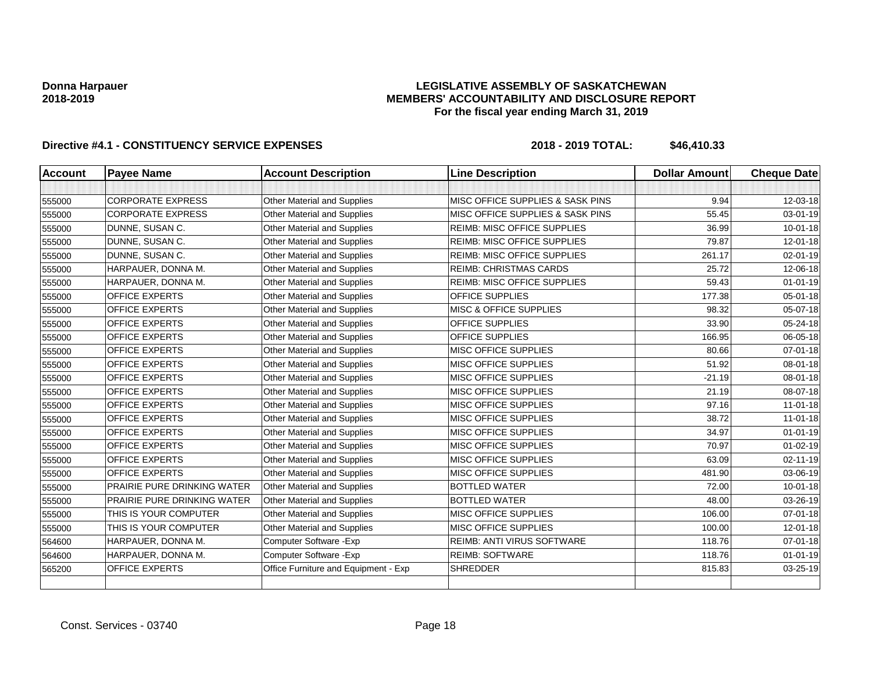### **LEGISLATIVE ASSEMBLY OF SASKATCHEWAN MEMBERS' ACCOUNTABILITY AND DISCLOSURE REPORT For the fiscal year ending March 31, 2019**

| <b>Account</b> | <b>Payee Name</b>                  | <b>Account Description</b>           | <b>Line Description</b>            | <b>Dollar Amount</b> | <b>Cheque Date</b> |
|----------------|------------------------------------|--------------------------------------|------------------------------------|----------------------|--------------------|
|                |                                    |                                      |                                    |                      |                    |
| 555000         | <b>CORPORATE EXPRESS</b>           | Other Material and Supplies          | MISC OFFICE SUPPLIES & SASK PINS   | 9.94                 | 12-03-18           |
| 555000         | <b>CORPORATE EXPRESS</b>           | Other Material and Supplies          | MISC OFFICE SUPPLIES & SASK PINS   | 55.45                | 03-01-19           |
| 555000         | DUNNE, SUSAN C.                    | Other Material and Supplies          | REIMB: MISC OFFICE SUPPLIES        | 36.99                | $10 - 01 - 18$     |
| 555000         | DUNNE, SUSAN C.                    | <b>Other Material and Supplies</b>   | <b>REIMB: MISC OFFICE SUPPLIES</b> | 79.87                | 12-01-18           |
| 555000         | DUNNE, SUSAN C.                    | Other Material and Supplies          | <b>REIMB: MISC OFFICE SUPPLIES</b> | 261.17               | $02 - 01 - 19$     |
| 555000         | HARPAUER, DONNA M.                 | Other Material and Supplies          | <b>REIMB: CHRISTMAS CARDS</b>      | 25.72                | 12-06-18           |
| 555000         | HARPAUER, DONNA M.                 | <b>Other Material and Supplies</b>   | <b>REIMB: MISC OFFICE SUPPLIES</b> | 59.43                | $01 - 01 - 19$     |
| 555000         | <b>OFFICE EXPERTS</b>              | <b>Other Material and Supplies</b>   | <b>OFFICE SUPPLIES</b>             | 177.38               | $05 - 01 - 18$     |
| 555000         | <b>OFFICE EXPERTS</b>              | <b>Other Material and Supplies</b>   | <b>MISC &amp; OFFICE SUPPLIES</b>  | 98.32                | 05-07-18           |
| 555000         | <b>OFFICE EXPERTS</b>              | Other Material and Supplies          | <b>OFFICE SUPPLIES</b>             | 33.90                | 05-24-18           |
| 555000         | <b>OFFICE EXPERTS</b>              | Other Material and Supplies          | OFFICE SUPPLIES                    | 166.95               | 06-05-18           |
| 555000         | <b>OFFICE EXPERTS</b>              | Other Material and Supplies          | <b>MISC OFFICE SUPPLIES</b>        | 80.66                | 07-01-18           |
| 555000         | <b>OFFICE EXPERTS</b>              | Other Material and Supplies          | MISC OFFICE SUPPLIES               | 51.92                | 08-01-18           |
| 555000         | <b>OFFICE EXPERTS</b>              | Other Material and Supplies          | MISC OFFICE SUPPLIES               | $-21.19$             | 08-01-18           |
| 555000         | <b>OFFICE EXPERTS</b>              | <b>Other Material and Supplies</b>   | MISC OFFICE SUPPLIES               | 21.19                | 08-07-18           |
| 555000         | <b>OFFICE EXPERTS</b>              | Other Material and Supplies          | MISC OFFICE SUPPLIES               | 97.16                | $11-01-18$         |
| 555000         | <b>OFFICE EXPERTS</b>              | <b>Other Material and Supplies</b>   | MISC OFFICE SUPPLIES               | 38.72                | $11-01-18$         |
| 555000         | <b>OFFICE EXPERTS</b>              | Other Material and Supplies          | <b>MISC OFFICE SUPPLIES</b>        | 34.97                | $01 - 01 - 19$     |
| 555000         | <b>OFFICE EXPERTS</b>              | Other Material and Supplies          | <b>MISC OFFICE SUPPLIES</b>        | 70.97                | $01 - 02 - 19$     |
| 555000         | <b>OFFICE EXPERTS</b>              | Other Material and Supplies          | MISC OFFICE SUPPLIES               | 63.09                | $02 - 11 - 19$     |
| 555000         | <b>OFFICE EXPERTS</b>              | Other Material and Supplies          | MISC OFFICE SUPPLIES               | 481.90               | 03-06-19           |
| 555000         | <b>PRAIRIE PURE DRINKING WATER</b> | Other Material and Supplies          | <b>BOTTLED WATER</b>               | 72.00                | $10 - 01 - 18$     |
| 555000         | PRAIRIE PURE DRINKING WATER        | <b>Other Material and Supplies</b>   | <b>BOTTLED WATER</b>               | 48.00                | 03-26-19           |
| 555000         | THIS IS YOUR COMPUTER              | Other Material and Supplies          | MISC OFFICE SUPPLIES               | 106.00               | $07 - 01 - 18$     |
| 555000         | THIS IS YOUR COMPUTER              | Other Material and Supplies          | MISC OFFICE SUPPLIES               | 100.00               | $12 - 01 - 18$     |
| 564600         | HARPAUER, DONNA M.                 | Computer Software - Exp              | REIMB: ANTI VIRUS SOFTWARE         | 118.76               | 07-01-18           |
| 564600         | HARPAUER, DONNA M.                 | Computer Software - Exp              | <b>REIMB: SOFTWARE</b>             | 118.76               | $01 - 01 - 19$     |
| 565200         | <b>OFFICE EXPERTS</b>              | Office Furniture and Equipment - Exp | <b>SHREDDER</b>                    | 815.83               | 03-25-19           |
|                |                                    |                                      |                                    |                      |                    |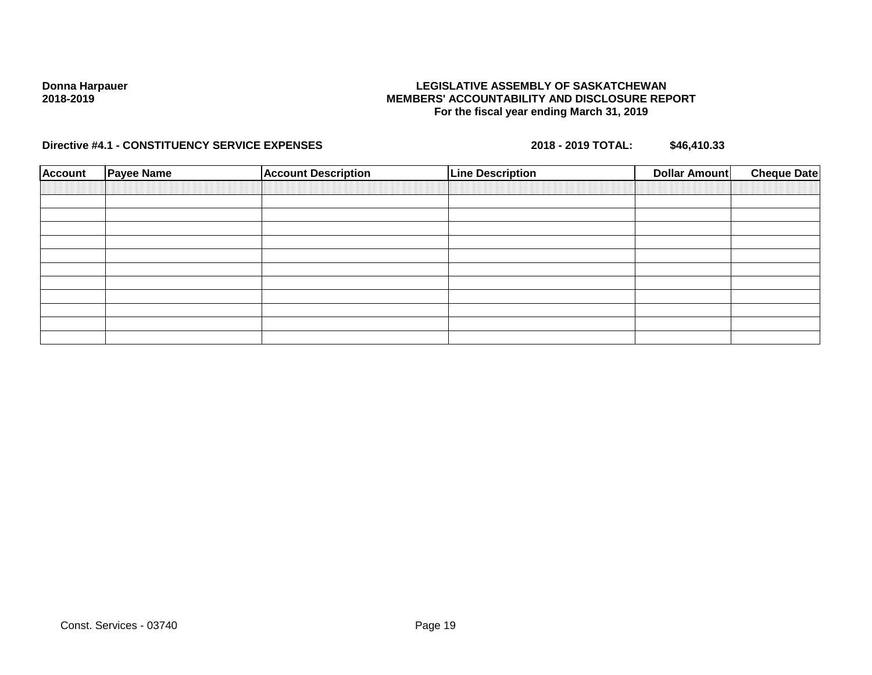### **LEGISLATIVE ASSEMBLY OF SASKATCHEWAN MEMBERS' ACCOUNTABILITY AND DISCLOSURE REPORT For the fiscal year ending March 31, 2019**

| <b>Account</b> | <b>Payee Name</b> | <b>Account Description</b> | <b>Line Description</b> | <b>Dollar Amount</b> | <b>Cheque Date</b> |
|----------------|-------------------|----------------------------|-------------------------|----------------------|--------------------|
|                |                   |                            |                         |                      |                    |
|                |                   |                            |                         |                      |                    |
|                |                   |                            |                         |                      |                    |
|                |                   |                            |                         |                      |                    |
|                |                   |                            |                         |                      |                    |
|                |                   |                            |                         |                      |                    |
|                |                   |                            |                         |                      |                    |
|                |                   |                            |                         |                      |                    |
|                |                   |                            |                         |                      |                    |
|                |                   |                            |                         |                      |                    |
|                |                   |                            |                         |                      |                    |
|                |                   |                            |                         |                      |                    |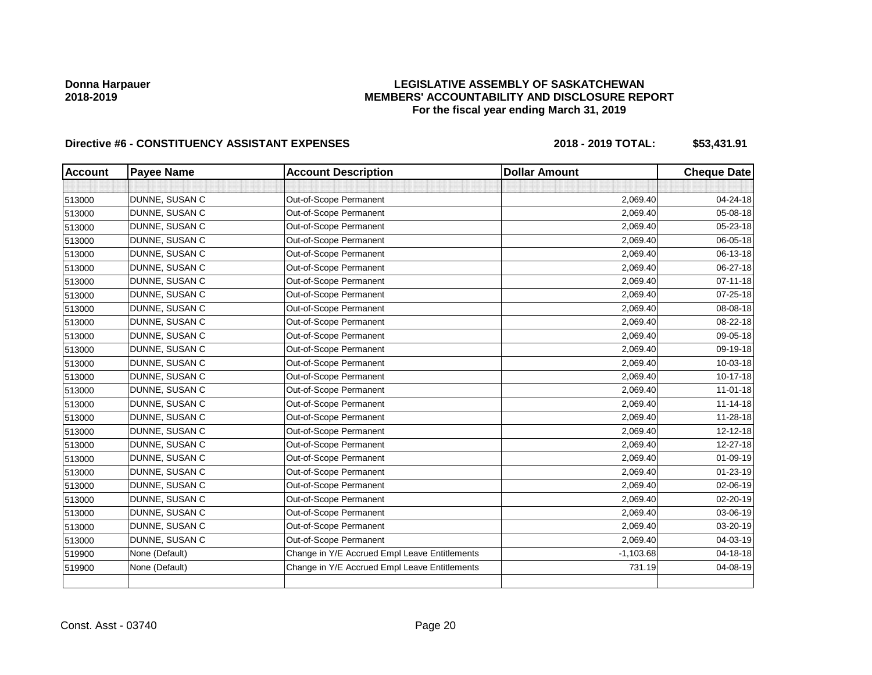## **LEGISLATIVE ASSEMBLY OF SASKATCHEWAN MEMBERS' ACCOUNTABILITY AND DISCLOSURE REPORT For the fiscal year ending March 31, 2019**

| <b>Account</b> | <b>Payee Name</b> | <b>Account Description</b>                    | <b>Dollar Amount</b> | <b>Cheque Date</b> |
|----------------|-------------------|-----------------------------------------------|----------------------|--------------------|
|                |                   |                                               |                      |                    |
| 513000         | DUNNE, SUSAN C    | Out-of-Scope Permanent                        | 2,069.40             | 04-24-18           |
| 513000         | DUNNE, SUSAN C    | Out-of-Scope Permanent                        | 2,069.40             | 05-08-18           |
| 513000         | DUNNE, SUSAN C    | Out-of-Scope Permanent                        | 2,069.40             | 05-23-18           |
| 513000         | DUNNE, SUSAN C    | Out-of-Scope Permanent                        | 2,069.40             | 06-05-18           |
| 513000         | DUNNE, SUSAN C    | Out-of-Scope Permanent                        | 2,069.40             | 06-13-18           |
| 513000         | DUNNE, SUSAN C    | Out-of-Scope Permanent                        | 2,069.40             | 06-27-18           |
| 513000         | DUNNE, SUSAN C    | Out-of-Scope Permanent                        | 2,069.40             | $07 - 11 - 18$     |
| 513000         | DUNNE, SUSAN C    | Out-of-Scope Permanent                        | 2,069.40             | 07-25-18           |
| 513000         | DUNNE, SUSAN C    | Out-of-Scope Permanent                        | 2,069.40             | 08-08-18           |
| 513000         | DUNNE, SUSAN C    | Out-of-Scope Permanent                        | 2,069.40             | 08-22-18           |
| 513000         | DUNNE, SUSAN C    | Out-of-Scope Permanent                        | 2,069.40             | 09-05-18           |
| 513000         | DUNNE, SUSAN C    | Out-of-Scope Permanent                        | 2,069.40             | 09-19-18           |
| 513000         | DUNNE, SUSAN C    | Out-of-Scope Permanent                        | 2,069.40             | 10-03-18           |
| 513000         | DUNNE, SUSAN C    | Out-of-Scope Permanent                        | 2,069.40             | 10-17-18           |
| 513000         | DUNNE, SUSAN C    | Out-of-Scope Permanent                        | 2,069.40             | 11-01-18           |
| 513000         | DUNNE, SUSAN C    | Out-of-Scope Permanent                        | 2,069.40             | $11 - 14 - 18$     |
| 513000         | DUNNE, SUSAN C    | Out-of-Scope Permanent                        | 2,069.40             | 11-28-18           |
| 513000         | DUNNE, SUSAN C    | Out-of-Scope Permanent                        | 2,069.40             | $12 - 12 - 18$     |
| 513000         | DUNNE, SUSAN C    | Out-of-Scope Permanent                        | 2,069.40             | 12-27-18           |
| 513000         | DUNNE, SUSAN C    | Out-of-Scope Permanent                        | 2,069.40             | 01-09-19           |
| 513000         | DUNNE, SUSAN C    | Out-of-Scope Permanent                        | 2,069.40             | 01-23-19           |
| 513000         | DUNNE, SUSAN C    | Out-of-Scope Permanent                        | 2,069.40             | 02-06-19           |
| 513000         | DUNNE, SUSAN C    | Out-of-Scope Permanent                        | 2,069.40             | 02-20-19           |
| 513000         | DUNNE, SUSAN C    | Out-of-Scope Permanent                        | 2,069.40             | 03-06-19           |
| 513000         | DUNNE, SUSAN C    | Out-of-Scope Permanent                        | 2,069.40             | 03-20-19           |
| 513000         | DUNNE, SUSAN C    | Out-of-Scope Permanent                        | 2,069.40             | 04-03-19           |
| 519900         | None (Default)    | Change in Y/E Accrued Empl Leave Entitlements | $-1,103.68$          | 04-18-18           |
| 519900         | None (Default)    | Change in Y/E Accrued Empl Leave Entitlements | 731.19               | 04-08-19           |
|                |                   |                                               |                      |                    |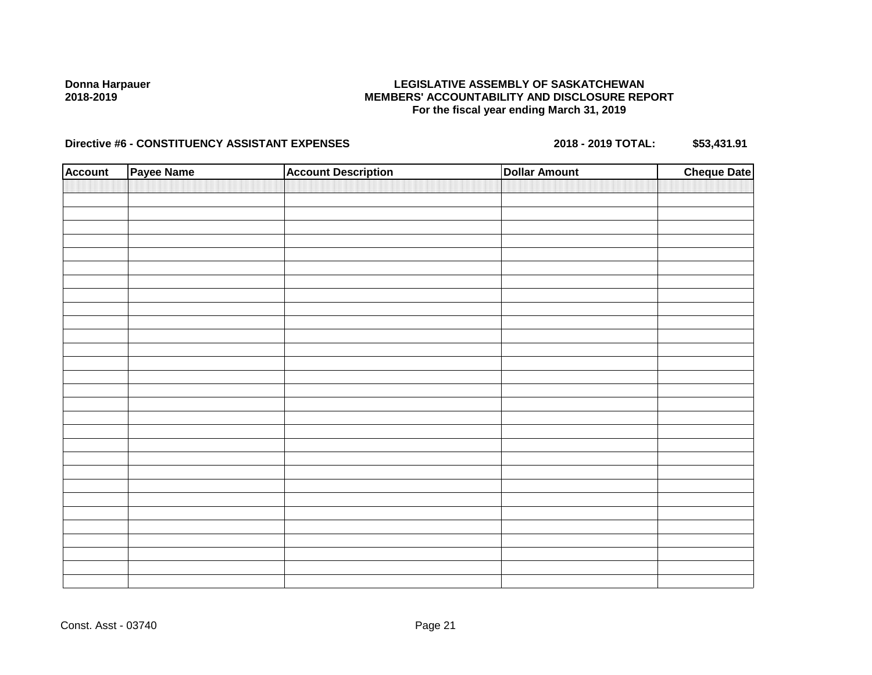### **LEGISLATIVE ASSEMBLY OF SASKATCHEWAN MEMBERS' ACCOUNTABILITY AND DISCLOSURE REPORT For the fiscal year ending March 31, 2019**

| <b>Account</b> | Payee Name | <b>Account Description</b> | <b>Dollar Amount</b> | <b>Cheque Date</b> |
|----------------|------------|----------------------------|----------------------|--------------------|
|                |            |                            |                      |                    |
|                |            |                            |                      |                    |
|                |            |                            |                      |                    |
|                |            |                            |                      |                    |
|                |            |                            |                      |                    |
|                |            |                            |                      |                    |
|                |            |                            |                      |                    |
|                |            |                            |                      |                    |
|                |            |                            |                      |                    |
|                |            |                            |                      |                    |
|                |            |                            |                      |                    |
|                |            |                            |                      |                    |
|                |            |                            |                      |                    |
|                |            |                            |                      |                    |
|                |            |                            |                      |                    |
|                |            |                            |                      |                    |
|                |            |                            |                      |                    |
|                |            |                            |                      |                    |
|                |            |                            |                      |                    |
|                |            |                            |                      |                    |
|                |            |                            |                      |                    |
|                |            |                            |                      |                    |
|                |            |                            |                      |                    |
|                |            |                            |                      |                    |
|                |            |                            |                      |                    |
|                |            |                            |                      |                    |
|                |            |                            |                      |                    |
|                |            |                            |                      |                    |
|                |            |                            |                      |                    |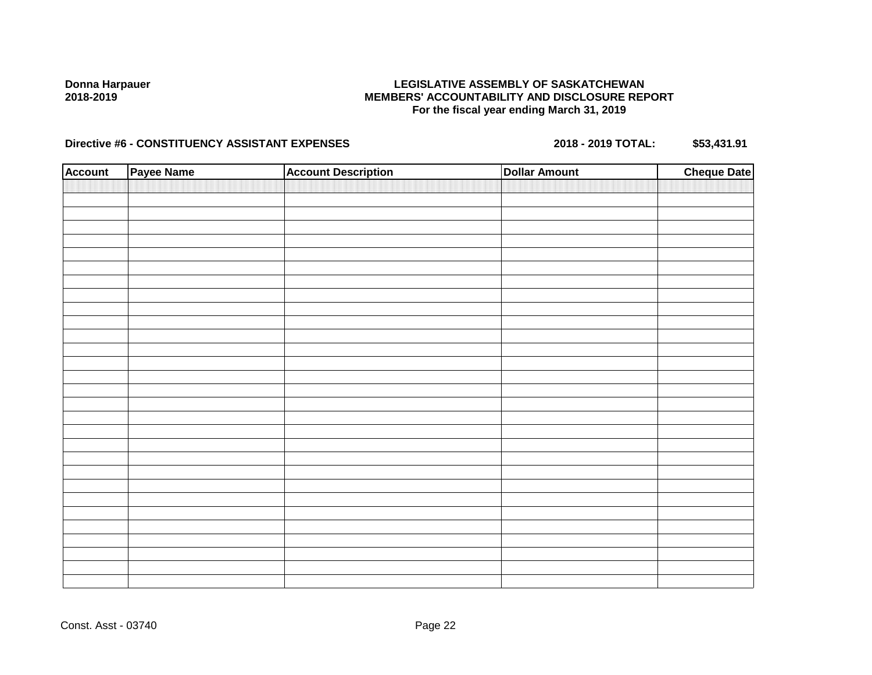### **LEGISLATIVE ASSEMBLY OF SASKATCHEWAN MEMBERS' ACCOUNTABILITY AND DISCLOSURE REPORT For the fiscal year ending March 31, 2019**

| <b>Account</b> | Payee Name | <b>Account Description</b> | <b>Dollar Amount</b> | <b>Cheque Date</b> |
|----------------|------------|----------------------------|----------------------|--------------------|
|                |            |                            |                      |                    |
|                |            |                            |                      |                    |
|                |            |                            |                      |                    |
|                |            |                            |                      |                    |
|                |            |                            |                      |                    |
|                |            |                            |                      |                    |
|                |            |                            |                      |                    |
|                |            |                            |                      |                    |
|                |            |                            |                      |                    |
|                |            |                            |                      |                    |
|                |            |                            |                      |                    |
|                |            |                            |                      |                    |
|                |            |                            |                      |                    |
|                |            |                            |                      |                    |
|                |            |                            |                      |                    |
|                |            |                            |                      |                    |
|                |            |                            |                      |                    |
|                |            |                            |                      |                    |
|                |            |                            |                      |                    |
|                |            |                            |                      |                    |
|                |            |                            |                      |                    |
|                |            |                            |                      |                    |
|                |            |                            |                      |                    |
|                |            |                            |                      |                    |
|                |            |                            |                      |                    |
|                |            |                            |                      |                    |
|                |            |                            |                      |                    |
|                |            |                            |                      |                    |
|                |            |                            |                      |                    |